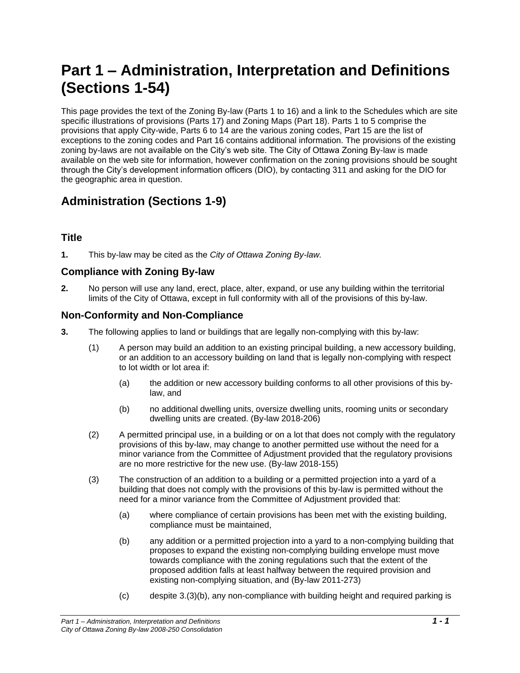# **Part 1 – Administration, Interpretation and Definitions (Sections 1-54)**

This page provides the text of the Zoning By-law (Parts 1 to 16) and a link to the Schedules which are site specific illustrations of provisions (Parts 17) and Zoning Maps (Part 18). Parts 1 to 5 comprise the provisions that apply City-wide, Parts 6 to 14 are the various zoning codes, Part 15 are the list of exceptions to the zoning codes and Part 16 contains additional information. The provisions of the existing zoning by-laws are not available on the City's web site. The City of Ottawa Zoning By-law is made available on the web site for information, however confirmation on the zoning provisions should be sought through the City's development information officers (DIO), by contacting 311 and asking for the DIO for the geographic area in question.

## **Administration (Sections 1-9)**

## **Title**

**1.** This by-law may be cited as the *City of Ottawa Zoning By-law.*

## **Compliance with Zoning By-law**

**2.** No person will use any land, erect, place, alter, expand, or use any building within the territorial limits of the City of Ottawa, except in full conformity with all of the provisions of this by-law.

## **Non-Conformity and Non-Compliance**

- **3.** The following applies to land or buildings that are legally non-complying with this by-law:
	- (1) A person may build an addition to an existing principal building, a new accessory building, or an addition to an accessory building on land that is legally non-complying with respect to lot width or lot area if:
		- (a) the addition or new accessory building conforms to all other provisions of this bylaw, and
		- (b) no additional dwelling units, oversize dwelling units, rooming units or secondary dwelling units are created. (By-law 2018-206)
	- (2) A permitted principal use, in a building or on a lot that does not comply with the regulatory provisions of this by-law, may change to another permitted use without the need for a minor variance from the Committee of Adjustment provided that the regulatory provisions are no more restrictive for the new use. (By-law 2018-155)
	- (3) The construction of an addition to a building or a permitted projection into a yard of a building that does not comply with the provisions of this by-law is permitted without the need for a minor variance from the Committee of Adjustment provided that:
		- (a) where compliance of certain provisions has been met with the existing building, compliance must be maintained,
		- (b) any addition or a permitted projection into a yard to a non-complying building that proposes to expand the existing non-complying building envelope must move towards compliance with the zoning regulations such that the extent of the proposed addition falls at least halfway between the required provision and existing non-complying situation, and (By-law 2011-273)
		- (c) despite 3.(3)(b), any non-compliance with building height and required parking is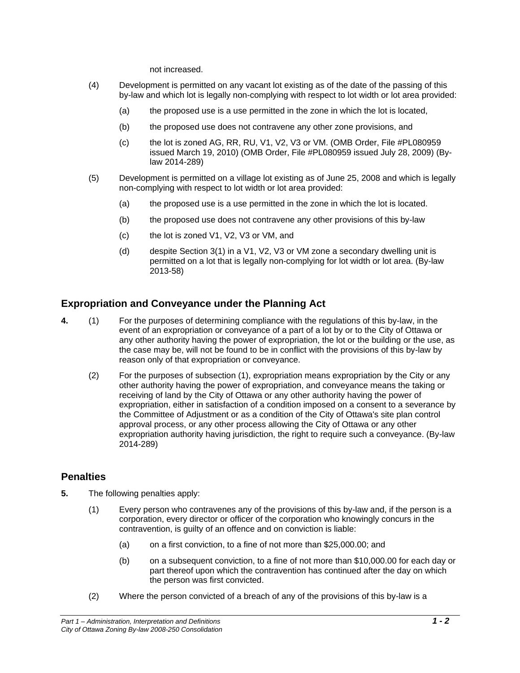not increased.

- (4) Development is permitted on any vacant lot existing as of the date of the passing of this by-law and which lot is legally non-complying with respect to lot width or lot area provided:
	- (a) the proposed use is a use permitted in the zone in which the lot is located,
	- (b) the proposed use does not contravene any other zone provisions, and
	- (c) the lot is zoned AG, RR, RU, V1, V2, V3 or VM. (OMB Order, File #PL080959 issued March 19, 2010) (OMB Order, File #PL080959 issued July 28, 2009) (Bylaw 2014-289)
- (5) Development is permitted on a village lot existing as of June 25, 2008 and which is legally non-complying with respect to lot width or lot area provided:
	- (a) the proposed use is a use permitted in the zone in which the lot is located.
	- (b) the proposed use does not contravene any other provisions of this by-law
	- (c) the lot is zoned V1, V2, V3 or VM, and
	- (d) despite Section  $3(1)$  in a V1, V2, V3 or VM zone a secondary dwelling unit is permitted on a lot that is legally non-complying for lot width or lot area. (By-law 2013-58)

## **Expropriation and Conveyance under the Planning Act**

- **4.** (1) For the purposes of determining compliance with the regulations of this by-law, in the event of an expropriation or conveyance of a part of a lot by or to the City of Ottawa or any other authority having the power of expropriation, the lot or the building or the use, as the case may be, will not be found to be in conflict with the provisions of this by-law by reason only of that expropriation or conveyance.
	- (2) For the purposes of subsection (1), expropriation means expropriation by the City or any other authority having the power of expropriation, and conveyance means the taking or receiving of land by the City of Ottawa or any other authority having the power of expropriation, either in satisfaction of a condition imposed on a consent to a severance by the Committee of Adjustment or as a condition of the City of Ottawa's site plan control approval process, or any other process allowing the City of Ottawa or any other expropriation authority having jurisdiction, the right to require such a conveyance. (By-law 2014-289)

## **Penalties**

- **5.** The following penalties apply:
	- (1) Every person who contravenes any of the provisions of this by-law and, if the person is a corporation, every director or officer of the corporation who knowingly concurs in the contravention, is guilty of an offence and on conviction is liable:
		- (a) on a first conviction, to a fine of not more than \$25,000.00; and
		- (b) on a subsequent conviction, to a fine of not more than \$10,000.00 for each day or part thereof upon which the contravention has continued after the day on which the person was first convicted.
	- (2) Where the person convicted of a breach of any of the provisions of this by-law is a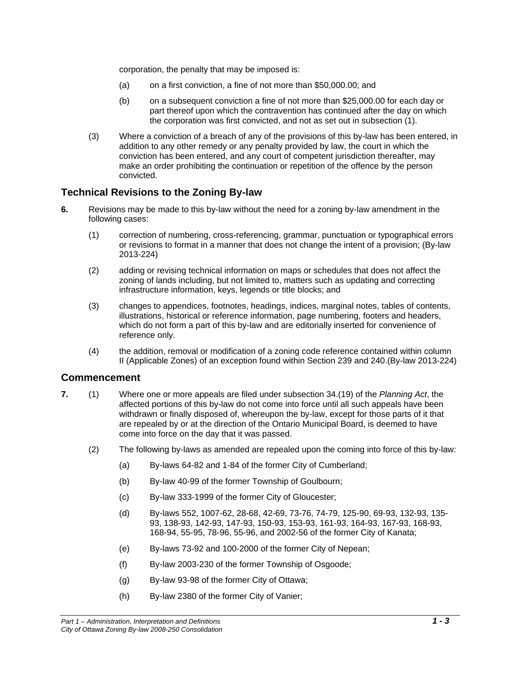corporation, the penalty that may be imposed is:

- (a) on a first conviction, a fine of not more than \$50,000.00; and
- (b) on a subsequent conviction a fine of not more than \$25,000.00 for each day or part thereof upon which the contravention has continued after the day on which the corporation was first convicted, and not as set out in subsection (1).
- (3) Where a conviction of a breach of any of the provisions of this by-law has been entered, in addition to any other remedy or any penalty provided by law, the court in which the conviction has been entered, and any court of competent jurisdiction thereafter, may make an order prohibiting the continuation or repetition of the offence by the person convicted.

## **Technical Revisions to the Zoning By-law**

- **6.** Revisions may be made to this by-law without the need for a zoning by-law amendment in the following cases:
	- (1) correction of numbering, cross-referencing, grammar, punctuation or typographical errors or revisions to format in a manner that does not change the intent of a provision; (By-law 2013-224)
	- (2) adding or revising technical information on maps or schedules that does not affect the zoning of lands including, but not limited to, matters such as updating and correcting infrastructure information, keys, legends or title blocks; and
	- (3) changes to appendices, footnotes, headings, indices, marginal notes, tables of contents, illustrations, historical or reference information, page numbering, footers and headers, which do not form a part of this by-law and are editorially inserted for convenience of reference only.
	- (4) the addition, removal or modification of a zoning code reference contained within column II (Applicable Zones) of an exception found within Section 239 and 240.(By-law 2013-224)

## **Commencement**

- **7.** (1) Where one or more appeals are filed under subsection 34.(19) of the *Planning Act*, the affected portions of this by-law do not come into force until all such appeals have been withdrawn or finally disposed of, whereupon the by-law, except for those parts of it that are repealed by or at the direction of the Ontario Municipal Board, is deemed to have come into force on the day that it was passed.
	- (2) The following by-laws as amended are repealed upon the coming into force of this by-law:
		- (a) By-laws 64-82 and 1-84 of the former City of Cumberland;
		- (b) By-law 40-99 of the former Township of Goulbourn;
		- (c) By-law 333-1999 of the former City of Gloucester;
		- (d) By-laws 552, 1007-62, 28-68, 42-69, 73-76, 74-79, 125-90, 69-93, 132-93, 135- 93, 138-93, 142-93, 147-93, 150-93, 153-93, 161-93, 164-93, 167-93, 168-93, 168-94, 55-95, 78-96, 55-96, and 2002-56 of the former City of Kanata;
		- (e) By-laws 73-92 and 100-2000 of the former City of Nepean;
		- (f) By-law 2003-230 of the former Township of Osgoode;
		- (g) By-law 93-98 of the former City of Ottawa;
		- (h) By-law 2380 of the former City of Vanier;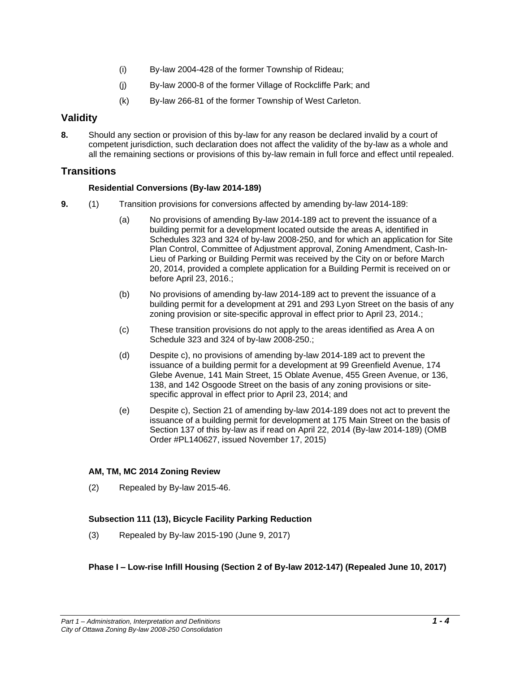- (i) By-law 2004-428 of the former Township of Rideau;
- (j) By-law 2000-8 of the former Village of Rockcliffe Park; and
- (k) By-law 266-81 of the former Township of West Carleton.

## **Validity**

**8.** Should any section or provision of this by-law for any reason be declared invalid by a court of competent jurisdiction, such declaration does not affect the validity of the by-law as a whole and all the remaining sections or provisions of this by-law remain in full force and effect until repealed.

## **Transitions**

## **Residential Conversions (By-law 2014-189)**

- **9.** (1) Transition provisions for conversions affected by amending by-law 2014-189:
	- (a) No provisions of amending By-law 2014-189 act to prevent the issuance of a building permit for a development located outside the areas A, identified in Schedules 323 and 324 of by-law 2008-250, and for which an application for Site Plan Control, Committee of Adjustment approval, Zoning Amendment, Cash-In-Lieu of Parking or Building Permit was received by the City on or before March 20, 2014, provided a complete application for a Building Permit is received on or before April 23, 2016.;
	- (b) No provisions of amending by-law 2014-189 act to prevent the issuance of a building permit for a development at 291 and 293 Lyon Street on the basis of any zoning provision or site-specific approval in effect prior to April 23, 2014.;
	- (c) These transition provisions do not apply to the areas identified as Area A on Schedule 323 and 324 of by-law 2008-250.;
	- (d) Despite c), no provisions of amending by-law 2014-189 act to prevent the issuance of a building permit for a development at 99 Greenfield Avenue, 174 Glebe Avenue, 141 Main Street, 15 Oblate Avenue, 455 Green Avenue, or 136, 138, and 142 Osgoode Street on the basis of any zoning provisions or sitespecific approval in effect prior to April 23, 2014; and
	- (e) Despite c), Section 21 of amending by-law 2014-189 does not act to prevent the issuance of a building permit for development at 175 Main Street on the basis of Section 137 of this by-law as if read on April 22, 2014 (By-law 2014-189) (OMB Order #PL140627, issued November 17, 2015)

## **AM, TM, MC 2014 Zoning Review**

(2) Repealed by By-law 2015-46.

## **Subsection 111 (13), Bicycle Facility Parking Reduction**

(3) Repealed by By-law 2015-190 (June 9, 2017)

## **Phase I – Low-rise Infill Housing (Section 2 of By-law 2012-147) (Repealed June 10, 2017)**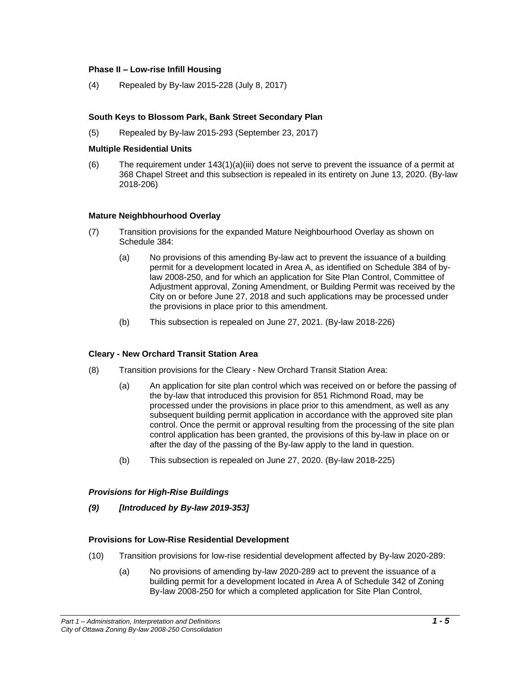#### **Phase II – Low-rise Infill Housing**

(4) Repealed by By-law 2015-228 (July 8, 2017)

## **South Keys to Blossom Park, Bank Street Secondary Plan**

(5) Repealed by By-law 2015-293 (September 23, 2017)

### **Multiple Residential Units**

(6) The requirement under  $143(1)(a)(iii)$  does not serve to prevent the issuance of a permit at 368 Chapel Street and this subsection is repealed in its entirety on June 13, 2020. (By-law 2018-206)

## **Mature Neighbhourhood Overlay**

- (7) Transition provisions for the expanded Mature Neighbourhood Overlay as shown on Schedule 384:
	- (a) No provisions of this amending By-law act to prevent the issuance of a building permit for a development located in Area A, as identified on Schedule 384 of bylaw 2008-250, and for which an application for Site Plan Control, Committee of Adjustment approval, Zoning Amendment, or Building Permit was received by the City on or before June 27, 2018 and such applications may be processed under the provisions in place prior to this amendment.
	- (b) This subsection is repealed on June 27, 2021. (By-law 2018-226)

## **Cleary - New Orchard Transit Station Area**

- (8) Transition provisions for the Cleary New Orchard Transit Station Area:
	- (a) An application for site plan control which was received on or before the passing of the by-law that introduced this provision for 851 Richmond Road, may be processed under the provisions in place prior to this amendment, as well as any subsequent building permit application in accordance with the approved site plan control. Once the permit or approval resulting from the processing of the site plan control application has been granted, the provisions of this by-law in place on or after the day of the passing of the By-law apply to the land in question.
	- (b) This subsection is repealed on June 27, 2020. (By-law 2018-225)

## *Provisions for High-Rise Buildings*

*(9) [Introduced by By-law 2019-353]*

#### **Provisions for Low-Rise Residential Development**

- (10) Transition provisions for low-rise residential development affected by By-law 2020-289:
	- (a) No provisions of amending by-law 2020-289 act to prevent the issuance of a building permit for a development located in Area A of Schedule 342 of Zoning By-law 2008-250 for which a completed application for Site Plan Control,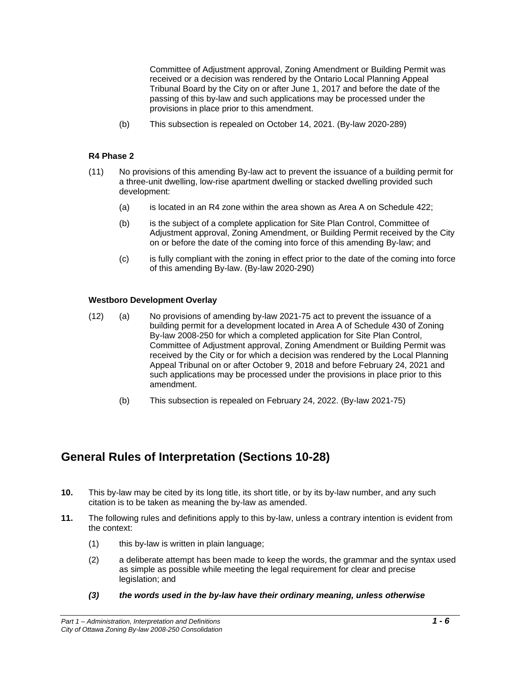Committee of Adjustment approval, Zoning Amendment or Building Permit was received or a decision was rendered by the Ontario Local Planning Appeal Tribunal Board by the City on or after June 1, 2017 and before the date of the passing of this by-law and such applications may be processed under the provisions in place prior to this amendment.

(b) This subsection is repealed on October 14, 2021. (By-law 2020-289)

#### **R4 Phase 2**

- (11) No provisions of this amending By-law act to prevent the issuance of a building permit for a three-unit dwelling, low-rise apartment dwelling or stacked dwelling provided such development:
	- (a) is located in an R4 zone within the area shown as Area A on Schedule 422;
	- (b) is the subject of a complete application for Site Plan Control, Committee of Adjustment approval, Zoning Amendment, or Building Permit received by the City on or before the date of the coming into force of this amending By-law; and
	- (c) is fully compliant with the zoning in effect prior to the date of the coming into force of this amending By-law. (By-law 2020-290)

#### **Westboro Development Overlay**

- (12) (a) No provisions of amending by-law 2021-75 act to prevent the issuance of a building permit for a development located in Area A of Schedule 430 of Zoning By-law 2008-250 for which a completed application for Site Plan Control, Committee of Adjustment approval, Zoning Amendment or Building Permit was received by the City or for which a decision was rendered by the Local Planning Appeal Tribunal on or after October 9, 2018 and before February 24, 2021 and such applications may be processed under the provisions in place prior to this amendment.
	- (b) This subsection is repealed on February 24, 2022. (By-law 2021-75)

## **General Rules of Interpretation (Sections 10-28)**

- **10.** This by-law may be cited by its long title, its short title, or by its by-law number, and any such citation is to be taken as meaning the by-law as amended.
- **11.** The following rules and definitions apply to this by-law, unless a contrary intention is evident from the context:
	- (1) this by-law is written in plain language;
	- (2) a deliberate attempt has been made to keep the words, the grammar and the syntax used as simple as possible while meeting the legal requirement for clear and precise legislation; and
	- *(3) the words used in the by-law have their ordinary meaning, unless otherwise*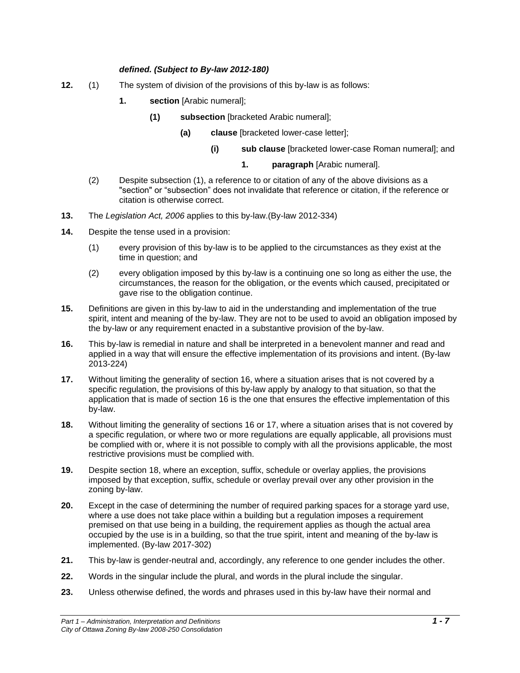## *defined. (Subject to By-law 2012-180)*

- **12.** (1) The system of division of the provisions of this by-law is as follows:
	- **1. section** [Arabic numeral];
		- **(1) subsection** [bracketed Arabic numeral];
			- **(a) clause** [bracketed lower-case letter];
				- **(i) sub clause** [bracketed lower-case Roman numeral]; and
					- **1. paragraph** [Arabic numeral].
	- (2) Despite subsection (1), a reference to or citation of any of the above divisions as a "section" or "subsection" does not invalidate that reference or citation, if the reference or citation is otherwise correct.
- **13.** The *Legislation Act, 2006* applies to this by-law.(By-law 2012-334)
- **14.** Despite the tense used in a provision:
	- (1) every provision of this by-law is to be applied to the circumstances as they exist at the time in question; and
	- (2) every obligation imposed by this by-law is a continuing one so long as either the use, the circumstances, the reason for the obligation, or the events which caused, precipitated or gave rise to the obligation continue.
- **15.** Definitions are given in this by-law to aid in the understanding and implementation of the true spirit, intent and meaning of the by-law. They are not to be used to avoid an obligation imposed by the by-law or any requirement enacted in a substantive provision of the by-law.
- **16.** This by-law is remedial in nature and shall be interpreted in a benevolent manner and read and applied in a way that will ensure the effective implementation of its provisions and intent. (By-law 2013-224)
- **17.** Without limiting the generality of section 16, where a situation arises that is not covered by a specific regulation, the provisions of this by-law apply by analogy to that situation, so that the application that is made of section 16 is the one that ensures the effective implementation of this by-law.
- **18.** Without limiting the generality of sections 16 or 17, where a situation arises that is not covered by a specific regulation, or where two or more regulations are equally applicable, all provisions must be complied with or, where it is not possible to comply with all the provisions applicable, the most restrictive provisions must be complied with.
- **19.** Despite section 18, where an exception, suffix, schedule or overlay applies, the provisions imposed by that exception, suffix, schedule or overlay prevail over any other provision in the zoning by-law.
- **20.** Except in the case of determining the number of required parking spaces for a storage yard use, where a use does not take place within a building but a regulation imposes a requirement premised on that use being in a building, the requirement applies as though the actual area occupied by the use is in a building, so that the true spirit, intent and meaning of the by-law is implemented. (By-law 2017-302)
- **21.** This by-law is gender-neutral and, accordingly, any reference to one gender includes the other.
- **22.** Words in the singular include the plural, and words in the plural include the singular.
- **23.** Unless otherwise defined, the words and phrases used in this by-law have their normal and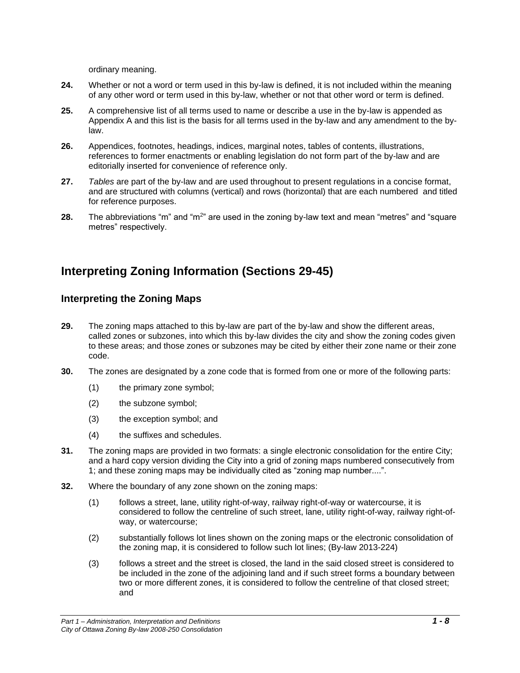ordinary meaning.

- **24.** Whether or not a word or term used in this by-law is defined, it is not included within the meaning of any other word or term used in this by-law, whether or not that other word or term is defined.
- **25.** A comprehensive list of all terms used to name or describe a use in the by-law is appended as Appendix A and this list is the basis for all terms used in the by-law and any amendment to the bylaw.
- **26.** Appendices, footnotes, headings, indices, marginal notes, tables of contents, illustrations, references to former enactments or enabling legislation do not form part of the by-law and are editorially inserted for convenience of reference only.
- **27.** *Tables* are part of the by-law and are used throughout to present regulations in a concise format, and are structured with columns (vertical) and rows (horizontal) that are each numbered and titled for reference purposes.
- **28.** The abbreviations "m" and "m<sup>2</sup>" are used in the zoning by-law text and mean "metres" and "square metres" respectively.

## **Interpreting Zoning Information (Sections 29-45)**

## **Interpreting the Zoning Maps**

- **29.** The zoning maps attached to this by-law are part of the by-law and show the different areas, called zones or subzones, into which this by-law divides the city and show the zoning codes given to these areas; and those zones or subzones may be cited by either their zone name or their zone code.
- **30.** The zones are designated by a zone code that is formed from one or more of the following parts:
	- (1) the primary zone symbol;
	- (2) the subzone symbol;
	- (3) the exception symbol; and
	- (4) the suffixes and schedules.
- **31.** The zoning maps are provided in two formats: a single electronic consolidation for the entire City; and a hard copy version dividing the City into a grid of zoning maps numbered consecutively from 1; and these zoning maps may be individually cited as "zoning map number....".
- **32.** Where the boundary of any zone shown on the zoning maps:
	- (1) follows a street, lane, utility right-of-way, railway right-of-way or watercourse, it is considered to follow the centreline of such street, lane, utility right-of-way, railway right-ofway, or watercourse;
	- (2) substantially follows lot lines shown on the zoning maps or the electronic consolidation of the zoning map, it is considered to follow such lot lines; (By-law 2013-224)
	- (3) follows a street and the street is closed, the land in the said closed street is considered to be included in the zone of the adjoining land and if such street forms a boundary between two or more different zones, it is considered to follow the centreline of that closed street; and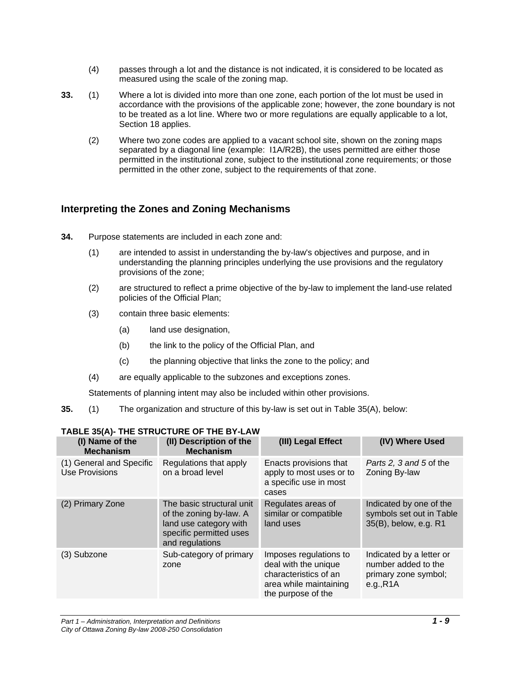- (4) passes through a lot and the distance is not indicated, it is considered to be located as measured using the scale of the zoning map.
- **33.** (1) Where a lot is divided into more than one zone, each portion of the lot must be used in accordance with the provisions of the applicable zone; however, the zone boundary is not to be treated as a lot line. Where two or more regulations are equally applicable to a lot, Section 18 applies.
	- (2) Where two zone codes are applied to a vacant school site, shown on the zoning maps separated by a diagonal line (example: I1A/R2B), the uses permitted are either those permitted in the institutional zone, subject to the institutional zone requirements; or those permitted in the other zone, subject to the requirements of that zone.

## **Interpreting the Zones and Zoning Mechanisms**

- **34.** Purpose statements are included in each zone and:
	- (1) are intended to assist in understanding the by-law's objectives and purpose, and in understanding the planning principles underlying the use provisions and the regulatory provisions of the zone;
	- (2) are structured to reflect a prime objective of the by-law to implement the land-use related policies of the Official Plan;
	- (3) contain three basic elements:
		- (a) land use designation,
		- (b) the link to the policy of the Official Plan, and
		- (c) the planning objective that links the zone to the policy; and
	- (4) are equally applicable to the subzones and exceptions zones.

Statements of planning intent may also be included within other provisions.

**35.** (1) The organization and structure of this by-law is set out in Table 35(A), below:

| (I) Name of the<br><b>Mechanism</b>               | (II) Description of the<br><b>Mechanism</b>                                                                                  | (III) Legal Effect                                                                                                      | (IV) Where Used                                                                      |
|---------------------------------------------------|------------------------------------------------------------------------------------------------------------------------------|-------------------------------------------------------------------------------------------------------------------------|--------------------------------------------------------------------------------------|
| (1) General and Specific<br><b>Use Provisions</b> | Regulations that apply<br>on a broad level                                                                                   | Enacts provisions that<br>apply to most uses or to<br>a specific use in most<br>cases                                   | Parts 2, 3 and 5 of the<br>Zoning By-law                                             |
| (2) Primary Zone                                  | The basic structural unit<br>of the zoning by-law. A<br>land use category with<br>specific permitted uses<br>and regulations | Regulates areas of<br>similar or compatible<br>land uses                                                                | Indicated by one of the<br>symbols set out in Table<br>35(B), below, e.g. R1         |
| (3) Subzone                                       | Sub-category of primary<br>zone                                                                                              | Imposes regulations to<br>deal with the unique<br>characteristics of an<br>area while maintaining<br>the purpose of the | Indicated by a letter or<br>number added to the<br>primary zone symbol;<br>e.g., R1A |

## **TABLE 35(A)- THE STRUCTURE OF THE BY-LAW**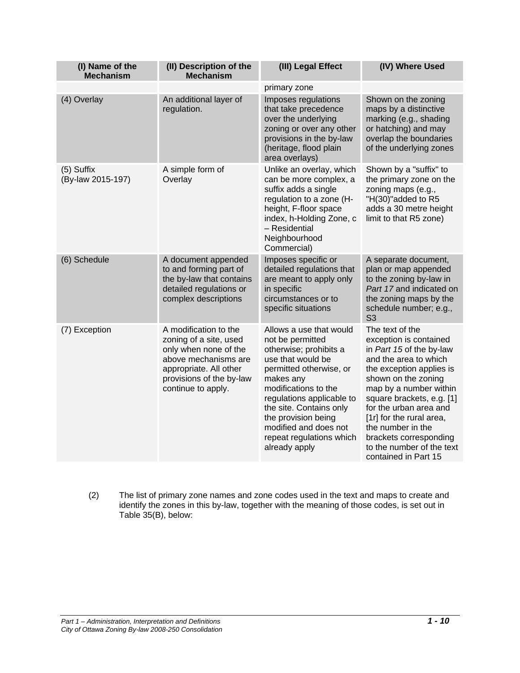| (I) Name of the<br><b>Mechanism</b> | (II) Description of the<br><b>Mechanism</b>                                                                                                                                  | (III) Legal Effect                                                                                                                                                                                                                                                                                              | (IV) Where Used                                                                                                                                                                                                                                                                                                                                                    |
|-------------------------------------|------------------------------------------------------------------------------------------------------------------------------------------------------------------------------|-----------------------------------------------------------------------------------------------------------------------------------------------------------------------------------------------------------------------------------------------------------------------------------------------------------------|--------------------------------------------------------------------------------------------------------------------------------------------------------------------------------------------------------------------------------------------------------------------------------------------------------------------------------------------------------------------|
|                                     |                                                                                                                                                                              | primary zone                                                                                                                                                                                                                                                                                                    |                                                                                                                                                                                                                                                                                                                                                                    |
| (4) Overlay                         | An additional layer of<br>regulation.                                                                                                                                        | Imposes regulations<br>that take precedence<br>over the underlying<br>zoning or over any other<br>provisions in the by-law<br>(heritage, flood plain<br>area overlays)                                                                                                                                          | Shown on the zoning<br>maps by a distinctive<br>marking (e.g., shading<br>or hatching) and may<br>overlap the boundaries<br>of the underlying zones                                                                                                                                                                                                                |
| $(5)$ Suffix<br>(By-law 2015-197)   | A simple form of<br>Overlay                                                                                                                                                  | Unlike an overlay, which<br>can be more complex, a<br>suffix adds a single<br>regulation to a zone (H-<br>height, F-floor space<br>index, h-Holding Zone, c<br>- Residential<br>Neighbourhood<br>Commercial)                                                                                                    | Shown by a "suffix" to<br>the primary zone on the<br>zoning maps (e.g.,<br>"H(30)"added to R5<br>adds a 30 metre height<br>limit to that R5 zone)                                                                                                                                                                                                                  |
| (6) Schedule                        | A document appended<br>to and forming part of<br>the by-law that contains<br>detailed regulations or<br>complex descriptions                                                 | Imposes specific or<br>detailed regulations that<br>are meant to apply only<br>in specific<br>circumstances or to<br>specific situations                                                                                                                                                                        | A separate document,<br>plan or map appended<br>to the zoning by-law in<br>Part 17 and indicated on<br>the zoning maps by the<br>schedule number; e.g.,<br>S <sub>3</sub>                                                                                                                                                                                          |
| (7) Exception                       | A modification to the<br>zoning of a site, used<br>only when none of the<br>above mechanisms are<br>appropriate. All other<br>provisions of the by-law<br>continue to apply. | Allows a use that would<br>not be permitted<br>otherwise; prohibits a<br>use that would be<br>permitted otherwise, or<br>makes any<br>modifications to the<br>regulations applicable to<br>the site. Contains only<br>the provision being<br>modified and does not<br>repeat regulations which<br>already apply | The text of the<br>exception is contained<br>in Part 15 of the by-law<br>and the area to which<br>the exception applies is<br>shown on the zoning<br>map by a number within<br>square brackets, e.g. [1]<br>for the urban area and<br>[1r] for the rural area,<br>the number in the<br>brackets corresponding<br>to the number of the text<br>contained in Part 15 |

(2) The list of primary zone names and zone codes used in the text and maps to create and identify the zones in this by-law, together with the meaning of those codes, is set out in Table 35(B), below: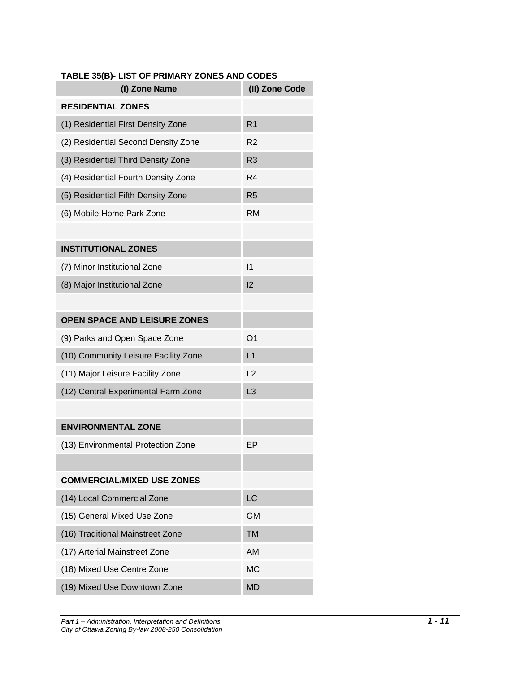| (I) Zone Name                        | (II) Zone Code |
|--------------------------------------|----------------|
| <b>RESIDENTIAL ZONES</b>             |                |
| (1) Residential First Density Zone   | R <sub>1</sub> |
| (2) Residential Second Density Zone  | R <sub>2</sub> |
| (3) Residential Third Density Zone   | R <sub>3</sub> |
| (4) Residential Fourth Density Zone  | R <sub>4</sub> |
| (5) Residential Fifth Density Zone   | R <sub>5</sub> |
| (6) Mobile Home Park Zone            | RM             |
|                                      |                |
| <b>INSTITUTIONAL ZONES</b>           |                |
| (7) Minor Institutional Zone         | $\mathsf{I}$   |
| (8) Major Institutional Zone         | 12             |
|                                      |                |
| <b>OPEN SPACE AND LEISURE ZONES</b>  |                |
| (9) Parks and Open Space Zone        | O1             |
| (10) Community Leisure Facility Zone | L1             |
| (11) Major Leisure Facility Zone     | L <sub>2</sub> |
| (12) Central Experimental Farm Zone  | L <sub>3</sub> |
|                                      |                |
| <b>ENVIRONMENTAL ZONE</b>            |                |
| (13) Environmental Protection Zone   | EР             |
|                                      |                |
| <b>COMMERCIAL/MIXED USE ZONES</b>    |                |
| (14) Local Commercial Zone           | <b>LC</b>      |
| (15) General Mixed Use Zone          | <b>GM</b>      |
| (16) Traditional Mainstreet Zone     | <b>TM</b>      |
| (17) Arterial Mainstreet Zone        | <b>AM</b>      |
| (18) Mixed Use Centre Zone           | <b>MC</b>      |
| (19) Mixed Use Downtown Zone         | <b>MD</b>      |

## **TABLE 35(B)- LIST OF PRIMARY ZONES AND CODES**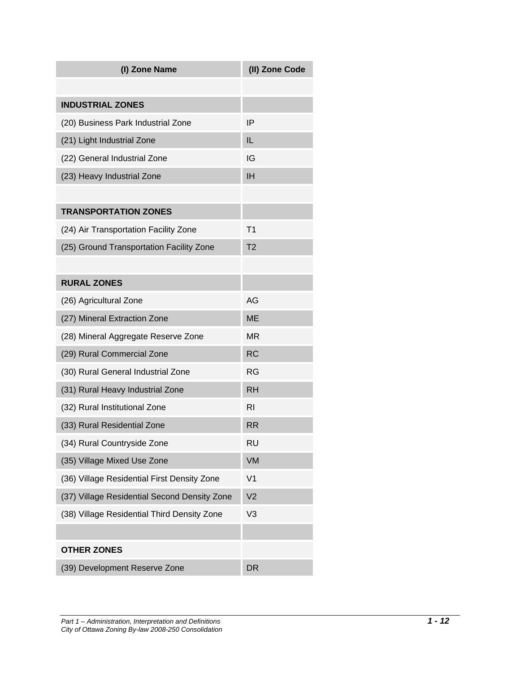| (I) Zone Name                                | (II) Zone Code |
|----------------------------------------------|----------------|
|                                              |                |
| <b>INDUSTRIAL ZONES</b>                      |                |
| (20) Business Park Industrial Zone           | IP             |
| (21) Light Industrial Zone                   | IL             |
| (22) General Industrial Zone                 | IG             |
| (23) Heavy Industrial Zone                   | ΙH             |
|                                              |                |
| <b>TRANSPORTATION ZONES</b>                  |                |
| (24) Air Transportation Facility Zone        | Τ1             |
| (25) Ground Transportation Facility Zone     | T <sub>2</sub> |
|                                              |                |
| <b>RURAL ZONES</b>                           |                |
| (26) Agricultural Zone                       | AG             |
| (27) Mineral Extraction Zone                 | <b>ME</b>      |
| (28) Mineral Aggregate Reserve Zone          | MR             |
| (29) Rural Commercial Zone                   | <b>RC</b>      |
| (30) Rural General Industrial Zone           | RG             |
| (31) Rural Heavy Industrial Zone             | <b>RH</b>      |
| (32) Rural Institutional Zone                | RI             |
| (33) Rural Residential Zone                  | RR             |
| (34) Rural Countryside Zone                  | RU             |
| (35) Village Mixed Use Zone                  | VM             |
| (36) Village Residential First Density Zone  | V <sub>1</sub> |
| (37) Village Residential Second Density Zone | V <sub>2</sub> |
| (38) Village Residential Third Density Zone  | V <sub>3</sub> |
|                                              |                |
| <b>OTHER ZONES</b>                           |                |
| (39) Development Reserve Zone                | <b>DR</b>      |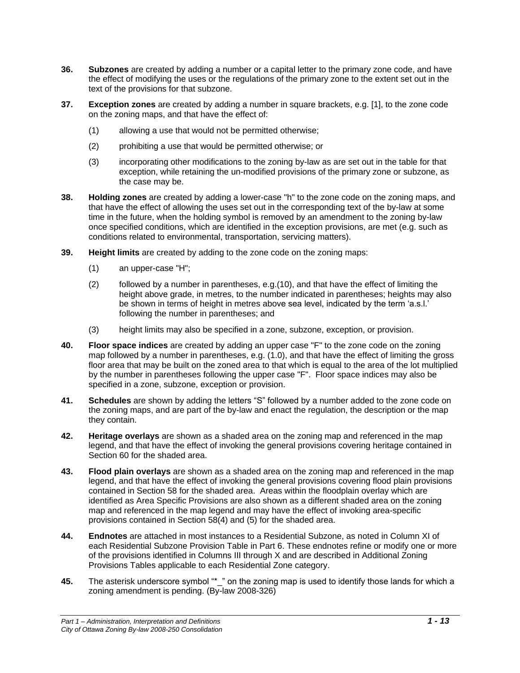- **36. Subzones** are created by adding a number or a capital letter to the primary zone code, and have the effect of modifying the uses or the regulations of the primary zone to the extent set out in the text of the provisions for that subzone.
- **37. Exception zones** are created by adding a number in square brackets, e.g. [1], to the zone code on the zoning maps, and that have the effect of:
	- (1) allowing a use that would not be permitted otherwise;
	- (2) prohibiting a use that would be permitted otherwise; or
	- (3) incorporating other modifications to the zoning by-law as are set out in the table for that exception, while retaining the un-modified provisions of the primary zone or subzone, as the case may be.
- **38. Holding zones** are created by adding a lower-case "h" to the zone code on the zoning maps, and that have the effect of allowing the uses set out in the corresponding text of the by-law at some time in the future, when the holding symbol is removed by an amendment to the zoning by-law once specified conditions, which are identified in the exception provisions, are met (e.g. such as conditions related to environmental, transportation, servicing matters).
- **39. Height limits** are created by adding to the zone code on the zoning maps:
	- (1) an upper-case "H";
	- (2) followed by a number in parentheses, e.g.(10), and that have the effect of limiting the height above grade, in metres, to the number indicated in parentheses; heights may also be shown in terms of height in metres above sea level, indicated by the term 'a.s.l.' following the number in parentheses; and
	- (3) height limits may also be specified in a zone, subzone, exception, or provision.
- **40. Floor space indices** are created by adding an upper case "F" to the zone code on the zoning map followed by a number in parentheses, e.g. (1.0), and that have the effect of limiting the gross floor area that may be built on the zoned area to that which is equal to the area of the lot multiplied by the number in parentheses following the upper case "F". Floor space indices may also be specified in a zone, subzone, exception or provision.
- **41. Schedules** are shown by adding the letters "S" followed by a number added to the zone code on the zoning maps, and are part of the by-law and enact the regulation, the description or the map they contain.
- **42. Heritage overlays** are shown as a shaded area on the zoning map and referenced in the map legend, and that have the effect of invoking the general provisions covering heritage contained in Section 60 for the shaded area.
- **43. Flood plain overlays** are shown as a shaded area on the zoning map and referenced in the map legend, and that have the effect of invoking the general provisions covering flood plain provisions contained in Section 58 for the shaded area. Areas within the floodplain overlay which are identified as Area Specific Provisions are also shown as a different shaded area on the zoning map and referenced in the map legend and may have the effect of invoking area-specific provisions contained in Section 58(4) and (5) for the shaded area.
- **44. Endnotes** are attached in most instances to a Residential Subzone, as noted in Column XI of each Residential Subzone Provision Table in Part 6. These endnotes refine or modify one or more of the provisions identified in Columns III through X and are described in Additional Zoning Provisions Tables applicable to each Residential Zone category.
- **45.** The asterisk underscore symbol "\*\_" on the zoning map is used to identify those lands for which a zoning amendment is pending. (By-law 2008-326)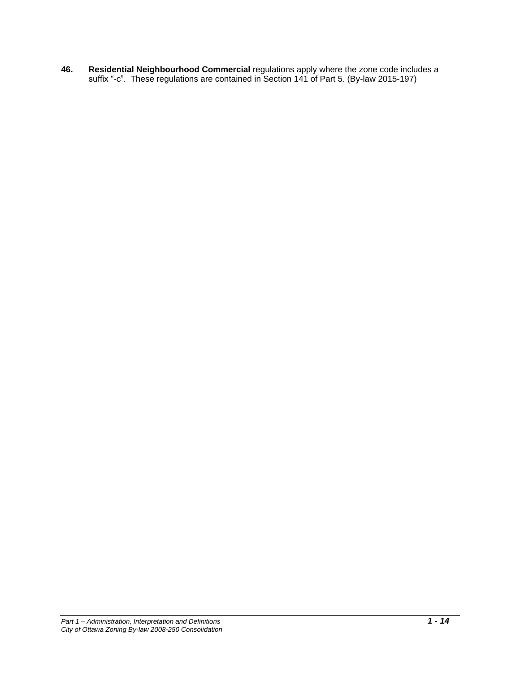**46. Residential Neighbourhood Commercial** regulations apply where the zone code includes a suffix "-c". These regulations are contained in Section 141 of Part 5. (By-law 2015-197)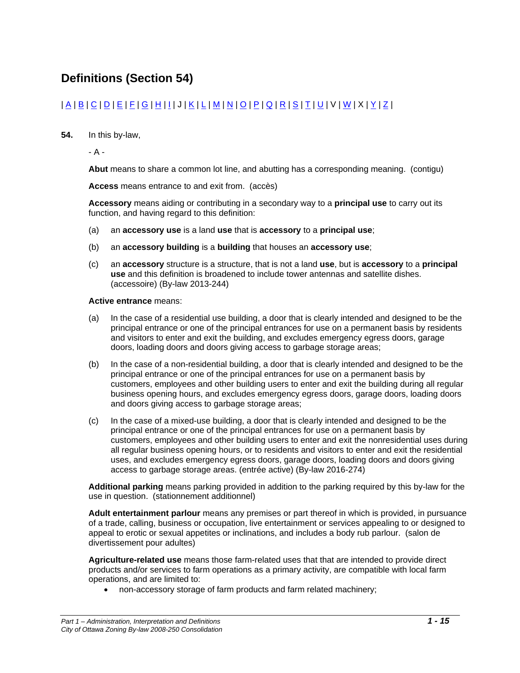## **Definitions (Section 54)**

## | [A](#page-16-0) | [B](#page-16-0) | [C](#page-18-0) | [D](#page-19-0) | [E](#page-21-0) | [F](#page-21-1) | [G](#page-22-0) | [H](#page-23-0) | [I](#page-24-0) | J | [K](#page-24-1) | [L](#page-25-0) | [M](#page-27-0) | [N](#page-28-0) | [O](#page-28-1) | [P](#page-29-0) | [Q](#page-31-0) | [R](#page-31-1) [| S](#page-33-0) | [T](#page-34-0) | [U](#page-35-0) | V | [W](#page-35-1) | X | [Y](#page-36-0) | [Z](#page-37-0) |

### **54.** In this by-law,

- A -

**Abut** means to share a common lot line, and abutting has a corresponding meaning. (contigu)

**Access** means entrance to and exit from. (accès)

**Accessory** means aiding or contributing in a secondary way to a **principal use** to carry out its function, and having regard to this definition:

- (a) an **accessory use** is a land **use** that is **accessory** to a **principal use**;
- (b) an **accessory building** is a **building** that houses an **accessory use**;
- (c) an **accessory** structure is a structure, that is not a land **use**, but is **accessory** to a **principal use** and this definition is broadened to include tower antennas and satellite dishes. (accessoire) (By-law 2013-244)

#### **Active entrance** means:

- (a) In the case of a residential use building, a door that is clearly intended and designed to be the principal entrance or one of the principal entrances for use on a permanent basis by residents and visitors to enter and exit the building, and excludes emergency egress doors, garage doors, loading doors and doors giving access to garbage storage areas;
- (b) In the case of a non-residential building, a door that is clearly intended and designed to be the principal entrance or one of the principal entrances for use on a permanent basis by customers, employees and other building users to enter and exit the building during all regular business opening hours, and excludes emergency egress doors, garage doors, loading doors and doors giving access to garbage storage areas;
- (c) In the case of a mixed-use building, a door that is clearly intended and designed to be the principal entrance or one of the principal entrances for use on a permanent basis by customers, employees and other building users to enter and exit the nonresidential uses during all regular business opening hours, or to residents and visitors to enter and exit the residential uses, and excludes emergency egress doors, garage doors, loading doors and doors giving access to garbage storage areas. (entrée active) (By-law 2016-274)

**Additional parking** means parking provided in addition to the parking required by this by-law for the use in question. (stationnement additionnel)

**Adult entertainment parlour** means any premises or part thereof in which is provided, in pursuance of a trade, calling, business or occupation, live entertainment or services appealing to or designed to appeal to erotic or sexual appetites or inclinations, and includes a body rub parlour. (salon de divertissement pour adultes)

**Agriculture-related use** means those farm-related uses that that are intended to provide direct products and/or services to farm operations as a primary activity, are compatible with local farm operations, and are limited to:

• non-accessory storage of farm products and farm related machinery;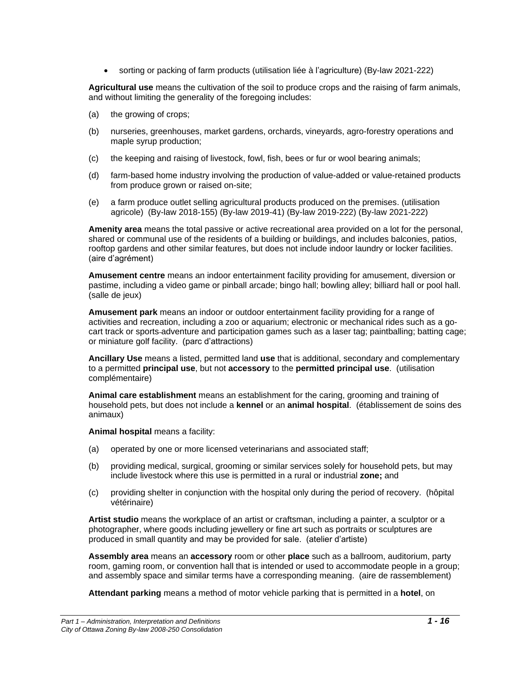• sorting or packing of farm products (utilisation liée à l'agriculture) (By-law 2021-222)

**Agricultural use** means the cultivation of the soil to produce crops and the raising of farm animals, and without limiting the generality of the foregoing includes:

- (a) the growing of crops;
- (b) nurseries, greenhouses, market gardens, orchards, vineyards, agro-forestry operations and maple syrup production;
- (c) the keeping and raising of livestock, fowl, fish, bees or fur or wool bearing animals;
- (d) farm-based home industry involving the production of value-added or value-retained products from produce grown or raised on-site;
- (e) a farm produce outlet selling agricultural products produced on the premises. (utilisation agricole) (By-law 2018-155) (By-law 2019-41) (By-law 2019-222) (By-law 2021-222)

**Amenity area** means the total passive or active recreational area provided on a lot for the personal, shared or communal use of the residents of a building or buildings, and includes balconies, patios, rooftop gardens and other similar features, but does not include indoor laundry or locker facilities. (aire d'agrément)

**Amusement centre** means an indoor entertainment facility providing for amusement, diversion or pastime, including a video game or pinball arcade; bingo hall; bowling alley; billiard hall or pool hall. (salle de jeux)

**Amusement park** means an indoor or outdoor entertainment facility providing for a range of activities and recreation, including a zoo or aquarium; electronic or mechanical rides such as a gocart track or sports adventure and participation games such as a laser tag; paintballing; batting cage; or miniature golf facility. (parc d'attractions)

**Ancillary Use** means a listed, permitted land **use** that is additional, secondary and complementary to a permitted **principal use**, but not **accessory** to the **permitted principal use**. (utilisation complémentaire)

**Animal care establishment** means an establishment for the caring, grooming and training of household pets, but does not include a **kennel** or an **animal hospital**. (établissement de soins des animaux)

**Animal hospital** means a facility:

- (a) operated by one or more licensed veterinarians and associated staff;
- (b) providing medical, surgical, grooming or similar services solely for household pets, but may include livestock where this use is permitted in a rural or industrial **zone;** and
- (c) providing shelter in conjunction with the hospital only during the period of recovery. (hôpital vétérinaire)

**Artist studio** means the workplace of an artist or craftsman, including a painter, a sculptor or a photographer, where goods including jewellery or fine art such as portraits or sculptures are produced in small quantity and may be provided for sale. (atelier d'artiste)

**Assembly area** means an **accessory** room or other **place** such as a ballroom, auditorium, party room, gaming room, or convention hall that is intended or used to accommodate people in a group; and assembly space and similar terms have a corresponding meaning. (aire de rassemblement)

**Attendant parking** means a method of motor vehicle parking that is permitted in a **hotel**, on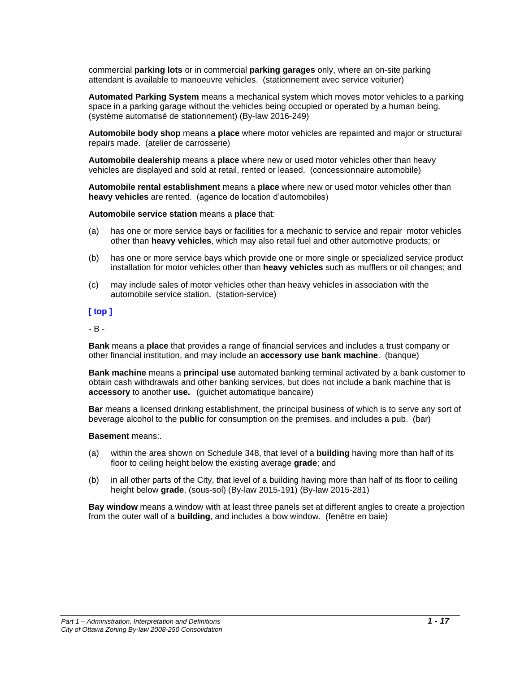commercial **parking lots** or in commercial **parking garages** only, where an on-site parking attendant is available to manoeuvre vehicles. (stationnement avec service voiturier)

**Automated Parking System** means a mechanical system which moves motor vehicles to a parking space in a parking garage without the vehicles being occupied or operated by a human being. (système automatisé de stationnement) (By-law 2016-249)

**Automobile body shop** means a **place** where motor vehicles are repainted and major or structural repairs made. (atelier de carrosserie)

**Automobile dealership** means a **place** where new or used motor vehicles other than heavy vehicles are displayed and sold at retail, rented or leased. (concessionnaire automobile)

**Automobile rental establishment** means a **place** where new or used motor vehicles other than **heavy vehicles** are rented. (agence de location d'automobiles)

**Automobile service station** means a **place** that:

- (a) has one or more service bays or facilities for a mechanic to service and repair motor vehicles other than **heavy vehicles**, which may also retail fuel and other automotive products; or
- (b) has one or more service bays which provide one or more single or specialized service product installation for motor vehicles other than **heavy vehicles** such as mufflers or oil changes; and
- (c) may include sales of motor vehicles other than heavy vehicles in association with the automobile service station. (station-service)

#### **[ top ]**

<span id="page-16-0"></span>- B -

**Bank** means a **place** that provides a range of financial services and includes a trust company or other financial institution, and may include an **accessory use bank machine**. (banque)

**Bank machine** means a **principal use** automated banking terminal activated by a bank customer to obtain cash withdrawals and other banking services, but does not include a bank machine that is **accessory** to another **use.** (guichet automatique bancaire)

**Bar** means a licensed drinking establishment, the principal business of which is to serve any sort of beverage alcohol to the **public** for consumption on the premises, and includes a pub. (bar)

#### **Basement** means:.

- (a) within the area shown on Schedule 348, that level of a **building** having more than half of its floor to ceiling height below the existing average **grade**; and
- (b) in all other parts of the City, that level of a building having more than half of its floor to ceiling height below **grade**, (sous-sol) (By-law 2015-191) (By-law 2015-281)

**Bay window** means a window with at least three panels set at different angles to create a projection from the outer wall of a **building**, and includes a bow window. (fenêtre en baie)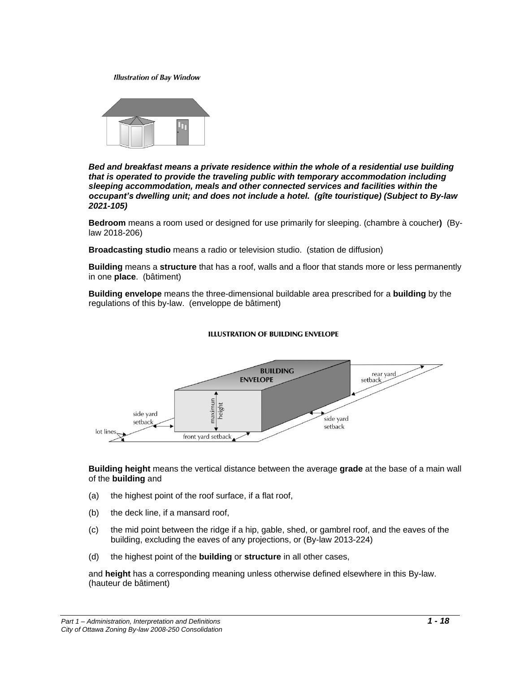**Illustration of Bay Window** 



*Bed and breakfast means a private residence within the whole of a residential use building that is operated to provide the traveling public with temporary accommodation including sleeping accommodation, meals and other connected services and facilities within the occupant's dwelling unit; and does not include a hotel. (gîte touristique) (Subject to By-law 2021-105)*

**Bedroom** means a room used or designed for use primarily for sleeping. (chambre à coucher**)** (Bylaw 2018-206)

**Broadcasting studio** means a radio or television studio. (station de diffusion)

**Building** means a **structure** that has a roof, walls and a floor that stands more or less permanently in one **place**. (bâtiment)

**Building envelope** means the three-dimensional buildable area prescribed for a **building** by the regulations of this by-law. (enveloppe de bâtiment)

#### **ILLUSTRATION OF BUILDING ENVELOPE**



**Building height** means the vertical distance between the average **grade** at the base of a main wall of the **building** and

- (a) the highest point of the roof surface, if a flat roof,
- (b) the deck line, if a mansard roof,
- (c) the mid point between the ridge if a hip, gable, shed, or gambrel roof, and the eaves of the building, excluding the eaves of any projections, or (By-law 2013-224)
- (d) the highest point of the **building** or **structure** in all other cases,

and **height** has a corresponding meaning unless otherwise defined elsewhere in this By-law. (hauteur de bâtiment)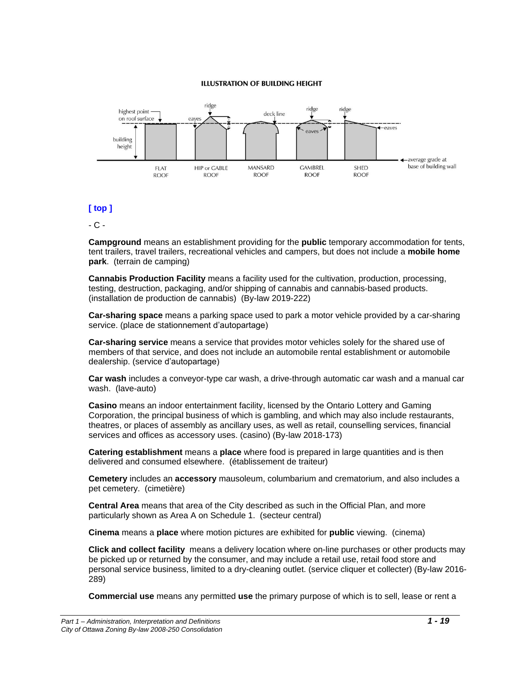#### **ILLUSTRATION OF BUILDING HEIGHT**



## **[ top ]**

<span id="page-18-0"></span>- C -

**Campground** means an establishment providing for the **public** temporary accommodation for tents, tent trailers, travel trailers, recreational vehicles and campers, but does not include a **mobile home park**. (terrain de camping)

**Cannabis Production Facility** means a facility used for the cultivation, production, processing, testing, destruction, packaging, and/or shipping of cannabis and cannabis-based products. (installation de production de cannabis) (By-law 2019-222)

**Car-sharing space** means a parking space used to park a motor vehicle provided by a car-sharing service. (place de stationnement d'autopartage)

**Car-sharing service** means a service that provides motor vehicles solely for the shared use of members of that service, and does not include an automobile rental establishment or automobile dealership. (service d'autopartage)

**Car wash** includes a conveyor-type car wash, a drive-through automatic car wash and a manual car wash. (lave-auto)

**Casino** means an indoor entertainment facility, licensed by the Ontario Lottery and Gaming Corporation, the principal business of which is gambling, and which may also include restaurants, theatres, or places of assembly as ancillary uses, as well as retail, counselling services, financial services and offices as accessory uses. (casino) (By-law 2018-173)

**Catering establishment** means a **place** where food is prepared in large quantities and is then delivered and consumed elsewhere. (établissement de traiteur)

**Cemetery** includes an **accessory** mausoleum, columbarium and crematorium, and also includes a pet cemetery. (cimetière)

**Central Area** means that area of the City described as such in the Official Plan, and more particularly shown as Area A on Schedule 1. (secteur central)

**Cinema** means a **place** where motion pictures are exhibited for **public** viewing. (cinema)

**Click and collect facility** means a delivery location where on-line purchases or other products may be picked up or returned by the consumer, and may include a retail use, retail food store and personal service business, limited to a dry-cleaning outlet. (service cliquer et collecter) (By-law 2016- 289)

**Commercial use** means any permitted **use** the primary purpose of which is to sell, lease or rent a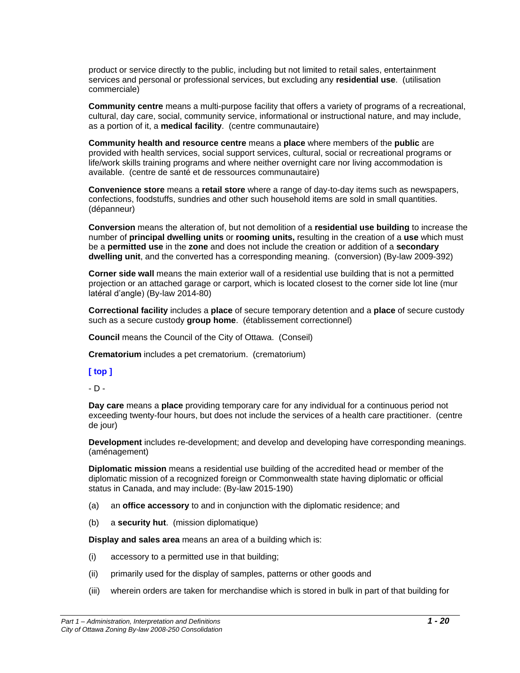product or service directly to the public, including but not limited to retail sales, entertainment services and personal or professional services, but excluding any **residential use**. (utilisation commerciale)

**Community centre** means a multi-purpose facility that offers a variety of programs of a recreational, cultural, day care, social, community service, informational or instructional nature, and may include, as a portion of it, a **medical facility**. (centre communautaire)

**Community health and resource centre** means a **place** where members of the **public** are provided with health services, social support services, cultural, social or recreational programs or life/work skills training programs and where neither overnight care nor living accommodation is available. (centre de santé et de ressources communautaire)

**Convenience store** means a **retail store** where a range of day-to-day items such as newspapers, confections, foodstuffs, sundries and other such household items are sold in small quantities. (dépanneur)

**Conversion** means the alteration of, but not demolition of a **residential use building** to increase the number of **principal dwelling units** or **rooming units,** resulting in the creation of a **use** which must be a **permitted use** in the **zone** and does not include the creation or addition of a **secondary dwelling unit**, and the converted has a corresponding meaning. (conversion) (By-law 2009-392)

**Corner side wall** means the main exterior wall of a residential use building that is not a permitted projection or an attached garage or carport, which is located closest to the corner side lot line (mur latéral d'angle) (By-law 2014-80)

**Correctional facility** includes a **place** of secure temporary detention and a **place** of secure custody such as a secure custody **group home**. (établissement correctionnel)

**Council** means the Council of the City of Ottawa. (Conseil)

**Crematorium** includes a pet crematorium. (crematorium)

#### **[ top ]**

<span id="page-19-0"></span>- D -

**Day care** means a **place** providing temporary care for any individual for a continuous period not exceeding twenty-four hours, but does not include the services of a health care practitioner. (centre de jour)

**Development** includes re-development; and develop and developing have corresponding meanings. (aménagement)

**Diplomatic mission** means a residential use building of the accredited head or member of the diplomatic mission of a recognized foreign or Commonwealth state having diplomatic or official status in Canada, and may include: (By-law 2015-190)

- (a) an **office accessory** to and in conjunction with the diplomatic residence; and
- (b) a **security hut**. (mission diplomatique)

**Display and sales area** means an area of a building which is:

- (i) accessory to a permitted use in that building;
- (ii) primarily used for the display of samples, patterns or other goods and
- (iii) wherein orders are taken for merchandise which is stored in bulk in part of that building for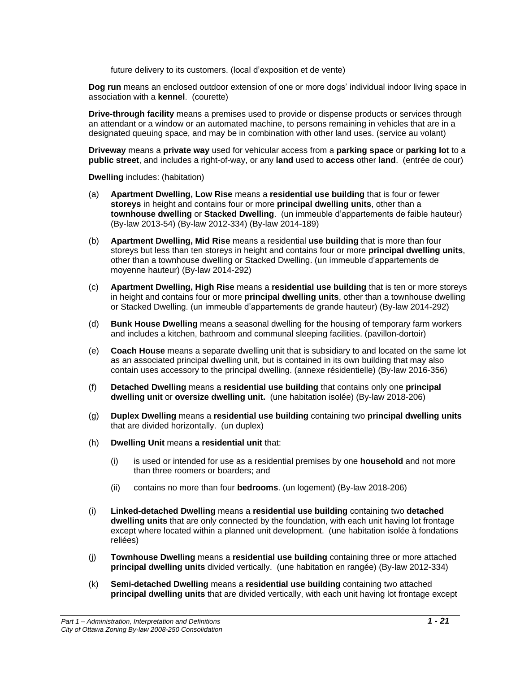future delivery to its customers. (local d'exposition et de vente)

**Dog run** means an enclosed outdoor extension of one or more dogs' individual indoor living space in association with a **kennel**. (courette)

**Drive-through facility** means a premises used to provide or dispense products or services through an attendant or a window or an automated machine, to persons remaining in vehicles that are in a designated queuing space, and may be in combination with other land uses. (service au volant)

**Driveway** means a **private way** used for vehicular access from a **parking space** or **parking lot** to a **public street**, and includes a right-of-way, or any **land** used to **access** other **land**. (entrée de cour)

**Dwelling** includes: (habitation)

- (a) **Apartment Dwelling, Low Rise** means a **residential use building** that is four or fewer **storeys** in height and contains four or more **principal dwelling units**, other than a **townhouse dwelling** or **Stacked Dwelling**. (un immeuble d'appartements de faible hauteur) (By-law 2013-54) (By-law 2012-334) (By-law 2014-189)
- (b) **Apartment Dwelling, Mid Rise** means a residential **use building** that is more than four storeys but less than ten storeys in height and contains four or more **principal dwelling units**, other than a townhouse dwelling or Stacked Dwelling. (un immeuble d'appartements de moyenne hauteur) (By-law 2014-292)
- (c) **Apartment Dwelling, High Rise** means a **residential use building** that is ten or more storeys in height and contains four or more **principal dwelling units**, other than a townhouse dwelling or Stacked Dwelling. (un immeuble d'appartements de grande hauteur) (By-law 2014-292)
- (d) **Bunk House Dwelling** means a seasonal dwelling for the housing of temporary farm workers and includes a kitchen, bathroom and communal sleeping facilities. (pavillon-dortoir)
- (e) **Coach House** means a separate dwelling unit that is subsidiary to and located on the same lot as an associated principal dwelling unit, but is contained in its own building that may also contain uses accessory to the principal dwelling. (annexe résidentielle) (By-law 2016-356)
- (f) **Detached Dwelling** means a **residential use building** that contains only one **principal dwelling unit** or **oversize dwelling unit.** (une habitation isolée) (By-law 2018-206)
- (g) **Duplex Dwelling** means a **residential use building** containing two **principal dwelling units**  that are divided horizontally. (un duplex)
- (h) **Dwelling Unit** means **a residential unit** that:
	- (i) is used or intended for use as a residential premises by one **household** and not more than three roomers or boarders; and
	- (ii) contains no more than four **bedrooms**. (un logement) (By-law 2018-206)
- (i) **Linked-detached Dwelling** means a **residential use building** containing two **detached dwelling units** that are only connected by the foundation, with each unit having lot frontage except where located within a planned unit development. (une habitation isolée à fondations reliées)
- (j) **Townhouse Dwelling** means a **residential use building** containing three or more attached **principal dwelling units** divided vertically. (une habitation en rangée) (By-law 2012-334)
- (k) **Semi-detached Dwelling** means a **residential use building** containing two attached **principal dwelling units** that are divided vertically, with each unit having lot frontage except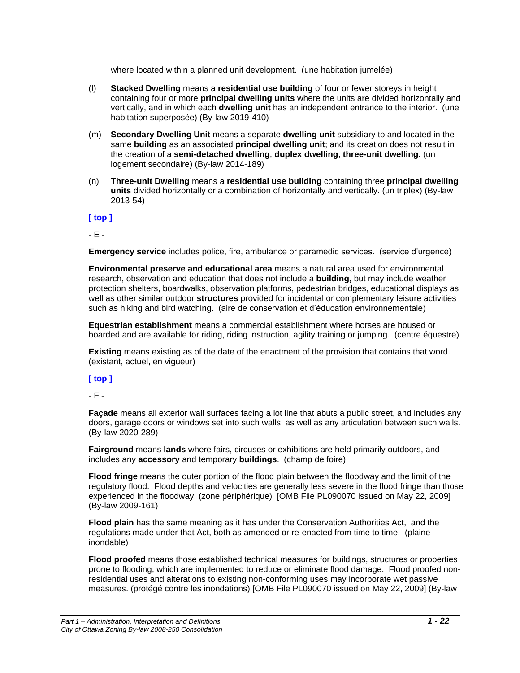where located within a planned unit development. (une habitation jumelée)

- (l) **Stacked Dwelling** means a **residential use building** of four or fewer storeys in height containing four or more **principal dwelling units** where the units are divided horizontally and vertically, and in which each **dwelling unit** has an independent entrance to the interior. (une habitation superposée) (By-law 2019-410)
- (m) **Secondary Dwelling Unit** means a separate **dwelling unit** subsidiary to and located in the same **building** as an associated **principal dwelling unit**; and its creation does not result in the creation of a **semi-detached dwelling**, **duplex dwelling**, **three-unit dwelling**. (un logement secondaire) (By-law 2014-189)
- (n) **Three-unit Dwelling** means a **residential use building** containing three **principal dwelling units** divided horizontally or a combination of horizontally and vertically. (un triplex) (By-law 2013-54)

**[ top ]**

<span id="page-21-0"></span>- E -

**Emergency service** includes police, fire, ambulance or paramedic services. (service d'urgence)

**Environmental preserve and educational area** means a natural area used for environmental research, observation and education that does not include a **building,** but may include weather protection shelters, boardwalks, observation platforms, pedestrian bridges, educational displays as well as other similar outdoor **structures** provided for incidental or complementary leisure activities such as hiking and bird watching. (aire de conservation et d'éducation environnementale)

**Equestrian establishment** means a commercial establishment where horses are housed or boarded and are available for riding, riding instruction, agility training or jumping. (centre équestre)

**Existing** means existing as of the date of the enactment of the provision that contains that word. (existant, actuel, en vigueur)

## **[ top ]**

<span id="page-21-1"></span>- F -

**Façade** means all exterior wall surfaces facing a lot line that abuts a public street, and includes any doors, garage doors or windows set into such walls, as well as any articulation between such walls. (By-law 2020-289)

**Fairground** means **lands** where fairs, circuses or exhibitions are held primarily outdoors, and includes any **accessory** and temporary **buildings**. (champ de foire)

**Flood fringe** means the outer portion of the flood plain between the floodway and the limit of the regulatory flood. Flood depths and velocities are generally less severe in the flood fringe than those experienced in the floodway. (zone périphérique) [OMB File PL090070 issued on May 22, 2009] (By-law 2009-161)

**Flood plain** has the same meaning as it has under the Conservation Authorities Act, and the regulations made under that Act, both as amended or re-enacted from time to time. (plaine inondable)

**Flood proofed** means those established technical measures for buildings, structures or properties prone to flooding, which are implemented to reduce or eliminate flood damage. Flood proofed nonresidential uses and alterations to existing non-conforming uses may incorporate wet passive measures. (protégé contre les inondations) [OMB File PL090070 issued on May 22, 2009] (By-law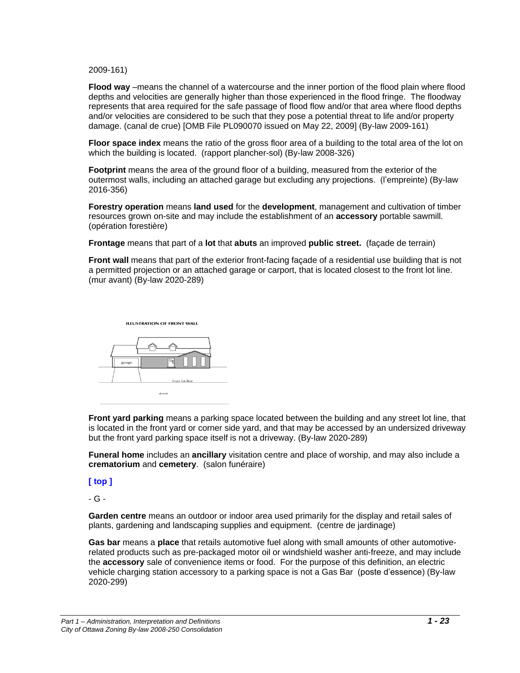2009-161)

**Flood way** –means the channel of a watercourse and the inner portion of the flood plain where flood depths and velocities are generally higher than those experienced in the flood fringe. The floodway represents that area required for the safe passage of flood flow and/or that area where flood depths and/or velocities are considered to be such that they pose a potential threat to life and/or property damage. (canal de crue) [OMB File PL090070 issued on May 22, 2009] (By-law 2009-161)

**Floor space index** means the ratio of the gross floor area of a building to the total area of the lot on which the building is located. (rapport plancher-sol) (By-law 2008-326)

**Footprint** means the area of the ground floor of a building, measured from the exterior of the outermost walls, including an attached garage but excluding any projections. (l'empreinte) (By-law 2016-356)

**Forestry operation** means **land used** for the **development**, management and cultivation of timber resources grown on-site and may include the establishment of an **accessory** portable sawmill. (opération forestière)

**Frontage** means that part of a **lot** that **abuts** an improved **public street.** (façade de terrain)

**Front wall** means that part of the exterior front-facing façade of a residential use building that is not a permitted projection or an attached garage or carport, that is located closest to the front lot line. (mur avant) (By-law 2020-289)



**Front yard parking** means a parking space located between the building and any street lot line, that is located in the front yard or corner side yard, and that may be accessed by an undersized driveway but the front yard parking space itself is not a driveway. (By-law 2020-289)

**Funeral home** includes an **ancillary** visitation centre and place of worship, and may also include a **crematorium** and **cemetery**. (salon funéraire)

**[ top ]**

<span id="page-22-0"></span>- G -

**Garden centre** means an outdoor or indoor area used primarily for the display and retail sales of plants, gardening and landscaping supplies and equipment. (centre de jardinage)

**Gas bar** means a **place** that retails automotive fuel along with small amounts of other automotiverelated products such as pre-packaged motor oil or windshield washer anti-freeze, and may include the **accessory** sale of convenience items or food. For the purpose of this definition, an electric vehicle charging station accessory to a parking space is not a Gas Bar (poste d'essence) (By-law 2020-299)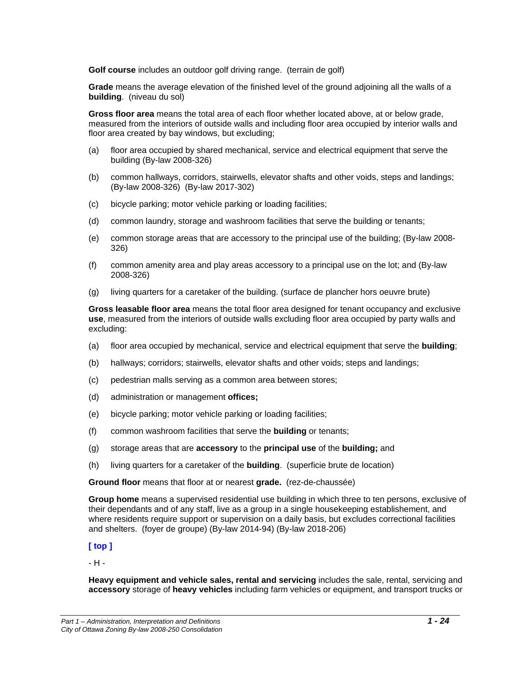**Golf course** includes an outdoor golf driving range. (terrain de golf)

**Grade** means the average elevation of the finished level of the ground adjoining all the walls of a **building**. (niveau du sol)

**Gross floor area** means the total area of each floor whether located above, at or below grade, measured from the interiors of outside walls and including floor area occupied by interior walls and floor area created by bay windows, but excluding;

- (a) floor area occupied by shared mechanical, service and electrical equipment that serve the building (By-law 2008-326)
- (b) common hallways, corridors, stairwells, elevator shafts and other voids, steps and landings; (By-law 2008-326) (By-law 2017-302)
- (c) bicycle parking; motor vehicle parking or loading facilities;
- (d) common laundry, storage and washroom facilities that serve the building or tenants;
- (e) common storage areas that are accessory to the principal use of the building; (By-law 2008- 326)
- (f) common amenity area and play areas accessory to a principal use on the lot; and (By-law 2008-326)
- (g) living quarters for a caretaker of the building. (surface de plancher hors oeuvre brute)

**Gross leasable floor area** means the total floor area designed for tenant occupancy and exclusive **use**, measured from the interiors of outside walls excluding floor area occupied by party walls and excluding:

- (a) floor area occupied by mechanical, service and electrical equipment that serve the **building**;
- (b) hallways; corridors; stairwells, elevator shafts and other voids; steps and landings;
- (c) pedestrian malls serving as a common area between stores;
- (d) administration or management **offices;**
- (e) bicycle parking; motor vehicle parking or loading facilities;
- (f) common washroom facilities that serve the **building** or tenants;
- (g) storage areas that are **accessory** to the **principal use** of the **building;** and
- (h) living quarters for a caretaker of the **building**. (superficie brute de location)

**Ground floor** means that floor at or nearest **grade.** (rez-de-chaussée)

**Group home** means a supervised residential use building in which three to ten persons, exclusive of their dependants and of any staff, live as a group in a single housekeeping establishement, and where residents require support or supervision on a daily basis, but excludes correctional facilities and shelters. (foyer de groupe) (By-law 2014-94) (By-law 2018-206)

## **[ top ]**

<span id="page-23-0"></span>- H -

**Heavy equipment and vehicle sales, rental and servicing** includes the sale, rental, servicing and **accessory** storage of **heavy vehicles** including farm vehicles or equipment, and transport trucks or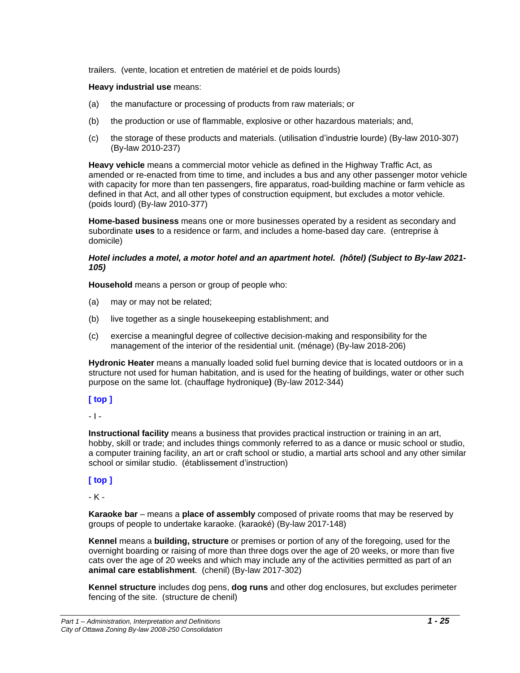trailers. (vente, location et entretien de matériel et de poids lourds)

#### **Heavy industrial use** means:

- (a) the manufacture or processing of products from raw materials; or
- (b) the production or use of flammable, explosive or other hazardous materials; and,
- (c) the storage of these products and materials. (utilisation d'industrie lourde) (By-law 2010-307) (By-law 2010-237)

**Heavy vehicle** means a commercial motor vehicle as defined in the Highway Traffic Act, as amended or re-enacted from time to time, and includes a bus and any other passenger motor vehicle with capacity for more than ten passengers, fire apparatus, road-building machine or farm vehicle as defined in that Act, and all other types of construction equipment, but excludes a motor vehicle. (poids lourd) (By-law 2010-377)

**Home-based business** means one or more businesses operated by a resident as secondary and subordinate **uses** to a residence or farm, and includes a home-based day care. (entreprise à domicile)

#### *Hotel includes a motel, a motor hotel and an apartment hotel. (hôtel) (Subject to By-law 2021- 105)*

**Household** means a person or group of people who:

- (a) may or may not be related;
- (b) live together as a single housekeeping establishment; and
- (c) exercise a meaningful degree of collective decision-making and responsibility for the management of the interior of the residential unit. (ménage) (By-law 2018-206)

**Hydronic Heater** means a manually loaded solid fuel burning device that is located outdoors or in a structure not used for human habitation, and is used for the heating of buildings, water or other such purpose on the same lot. (chauffage hydronique**)** (By-law 2012-344)

## **[ top ]**

<span id="page-24-0"></span>- I -

**Instructional facility** means a business that provides practical instruction or training in an art, hobby, skill or trade; and includes things commonly referred to as a dance or music school or studio, a computer training facility, an art or craft school or studio, a martial arts school and any other similar school or similar studio. (établissement d'instruction)

## **[ top ]**

<span id="page-24-1"></span>- K -

**Karaoke bar** – means a **place of assembly** composed of private rooms that may be reserved by groups of people to undertake karaoke. (karaoké) (By-law 2017-148)

**Kennel** means a **building, structure** or premises or portion of any of the foregoing, used for the overnight boarding or raising of more than three dogs over the age of 20 weeks, or more than five cats over the age of 20 weeks and which may include any of the activities permitted as part of an **animal care establishment**. (chenil) (By-law 2017-302)

**Kennel structure** includes dog pens, **dog runs** and other dog enclosures, but excludes perimeter fencing of the site. (structure de chenil)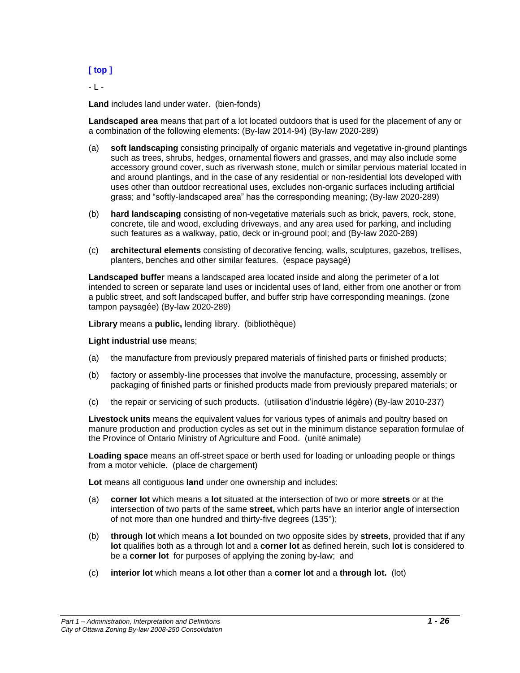## **[ top ]**

<span id="page-25-0"></span>- L -

**Land** includes land under water. (bien-fonds)

**Landscaped area** means that part of a lot located outdoors that is used for the placement of any or a combination of the following elements: (By-law 2014-94) (By-law 2020-289)

- (a) **soft landscaping** consisting principally of organic materials and vegetative in-ground plantings such as trees, shrubs, hedges, ornamental flowers and grasses, and may also include some accessory ground cover, such as riverwash stone, mulch or similar pervious material located in and around plantings, and in the case of any residential or non-residential lots developed with uses other than outdoor recreational uses, excludes non-organic surfaces including artificial grass; and "softly-landscaped area" has the corresponding meaning; (By-law 2020-289)
- (b) **hard landscaping** consisting of non-vegetative materials such as brick, pavers, rock, stone, concrete, tile and wood, excluding driveways, and any area used for parking, and including such features as a walkway, patio, deck or in-ground pool; and (By-law 2020-289)
- (c) **architectural elements** consisting of decorative fencing, walls, sculptures, gazebos, trellises, planters, benches and other similar features. (espace paysagé)

**Landscaped buffer** means a landscaped area located inside and along the perimeter of a lot intended to screen or separate land uses or incidental uses of land, either from one another or from a public street, and soft landscaped buffer, and buffer strip have corresponding meanings. (zone tampon paysagée) (By-law 2020-289)

**Library** means a **public,** lending library. (bibliothèque)

#### **Light industrial use** means;

- (a) the manufacture from previously prepared materials of finished parts or finished products;
- (b) factory or assembly-line processes that involve the manufacture, processing, assembly or packaging of finished parts or finished products made from previously prepared materials; or
- (c) the repair or servicing of such products. (utilisation d'industrie légère) (By-law 2010-237)

**Livestock units** means the equivalent values for various types of animals and poultry based on manure production and production cycles as set out in the minimum distance separation formulae of the Province of Ontario Ministry of Agriculture and Food. (unité animale)

**Loading space** means an off-street space or berth used for loading or unloading people or things from a motor vehicle. (place de chargement)

**Lot** means all contiguous **land** under one ownership and includes:

- (a) **corner lot** which means a **lot** situated at the intersection of two or more **streets** or at the intersection of two parts of the same **street,** which parts have an interior angle of intersection of not more than one hundred and thirty-five degrees (135°);
- (b) **through lot** which means a **lot** bounded on two opposite sides by **streets**, provided that if any **lot** qualifies both as a through lot and a **corner lot** as defined herein, such **lot** is considered to be a **corner lot** for purposes of applying the zoning by-law; and
- (c) **interior lot** which means a **lot** other than a **corner lot** and a **through lot.** (lot)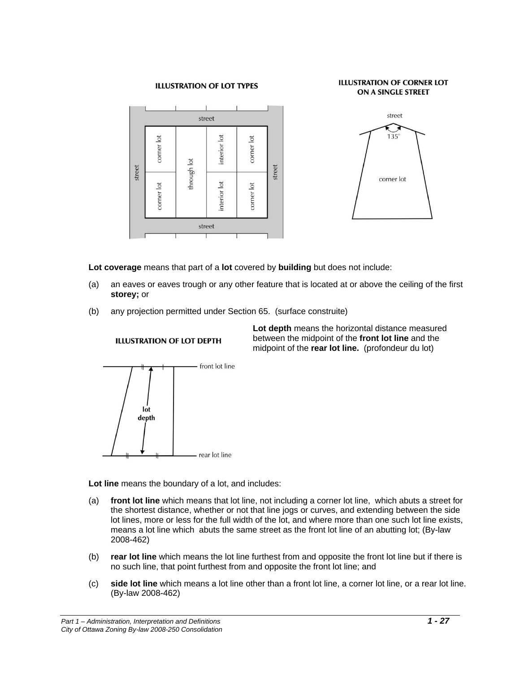#### **ILLUSTRATION OF LOT TYPES**

#### **ILLUSTRATION OF CORNER LOT** ON A SINGLE STREET



![](_page_26_Figure_3.jpeg)

**Lot coverage** means that part of a **lot** covered by **building** but does not include:

- (a) an eaves or eaves trough or any other feature that is located at or above the ceiling of the first **storey;** or
- (b) any projection permitted under Section 65. (surface construite)

![](_page_26_Figure_7.jpeg)

## **ILLUSTRATION OF LOT DEPTH**

**Lot depth** means the horizontal distance measured between the midpoint of the **front lot line** and the midpoint of the **rear lot line.** (profondeur du lot)

**Lot line** means the boundary of a lot, and includes:

- (a) **front lot line** which means that lot line, not including a corner lot line, which abuts a street for the shortest distance, whether or not that line jogs or curves, and extending between the side lot lines, more or less for the full width of the lot, and where more than one such lot line exists, means a lot line which abuts the same street as the front lot line of an abutting lot; (By-law 2008-462)
- (b) **rear lot line** which means the lot line furthest from and opposite the front lot line but if there is no such line, that point furthest from and opposite the front lot line; and
- (c) **side lot line** which means a lot line other than a front lot line, a corner lot line, or a rear lot line. (By-law 2008-462)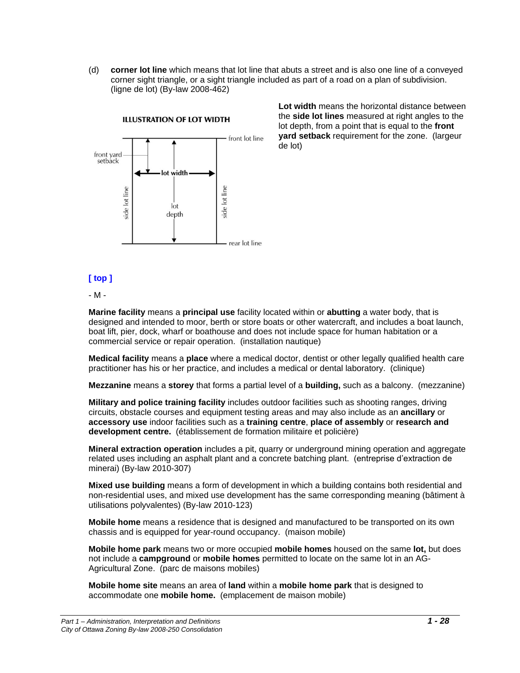(d) **corner lot line** which means that lot line that abuts a street and is also one line of a conveyed corner sight triangle, or a sight triangle included as part of a road on a plan of subdivision. (ligne de lot) (By-law 2008-462)

![](_page_27_Figure_1.jpeg)

**Lot width** means the horizontal distance between the **side lot lines** measured at right angles to the lot depth, from a point that is equal to the **front yard setback** requirement for the zone. (largeur de lot)

## **[ top ]**

<span id="page-27-0"></span>- M -

**Marine facility** means a **principal use** facility located within or **abutting** a water body, that is designed and intended to moor, berth or store boats or other watercraft, and includes a boat launch, boat lift, pier, dock, wharf or boathouse and does not include space for human habitation or a commercial service or repair operation. (installation nautique)

**Medical facility** means a **place** where a medical doctor, dentist or other legally qualified health care practitioner has his or her practice, and includes a medical or dental laboratory. (clinique)

**Mezzanine** means a **storey** that forms a partial level of a **building,** such as a balcony. (mezzanine)

**Military and police training facility** includes outdoor facilities such as shooting ranges, driving circuits, obstacle courses and equipment testing areas and may also include as an **ancillary** or **accessory use** indoor facilities such as a **training centre**, **place of assembly** or **research and development centre.** (établissement de formation militaire et policière)

**Mineral extraction operation** includes a pit, quarry or underground mining operation and aggregate related uses including an asphalt plant and a concrete batching plant. (entreprise d'extraction de minerai) (By-law 2010-307)

**Mixed use building** means a form of development in which a building contains both residential and non-residential uses, and mixed use development has the same corresponding meaning (bâtiment à utilisations polyvalentes) (By-law 2010-123)

**Mobile home** means a residence that is designed and manufactured to be transported on its own chassis and is equipped for year-round occupancy. (maison mobile)

**Mobile home park** means two or more occupied **mobile homes** housed on the same **lot,** but does not include a **campground** or **mobile homes** permitted to locate on the same lot in an AG-Agricultural Zone. (parc de maisons mobiles)

**Mobile home site** means an area of **land** within a **mobile home park** that is designed to accommodate one **mobile home.** (emplacement de maison mobile)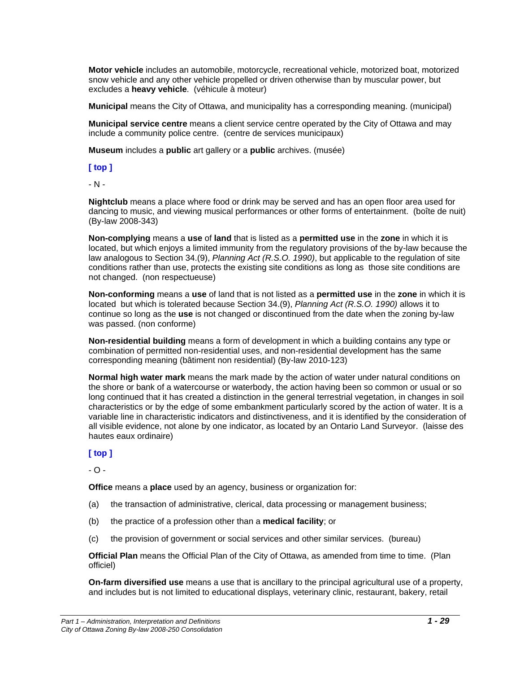**Motor vehicle** includes an automobile, motorcycle, recreational vehicle, motorized boat, motorized snow vehicle and any other vehicle propelled or driven otherwise than by muscular power, but excludes a **heavy vehicle**. (véhicule à moteur)

**Municipal** means the City of Ottawa, and municipality has a corresponding meaning. (municipal)

**Municipal service centre** means a client service centre operated by the City of Ottawa and may include a community police centre. (centre de services municipaux)

**Museum** includes a **public** art gallery or a **public** archives. (musée)

#### **[ top ]**

<span id="page-28-0"></span>- N -

**Nightclub** means a place where food or drink may be served and has an open floor area used for dancing to music, and viewing musical performances or other forms of entertainment. (boîte de nuit) (By-law 2008-343)

**Non-complying** means a **use** of **land** that is listed as a **permitted use** in the **zone** in which it is located, but which enjoys a limited immunity from the regulatory provisions of the by-law because the law analogous to Section 34.(9), *Planning Act (R.S.O. 1990)*, but applicable to the regulation of site conditions rather than use, protects the existing site conditions as long as those site conditions are not changed. (non respectueuse)

**Non-conforming** means a **use** of land that is not listed as a **permitted use** in the **zone** in which it is located but which is tolerated because Section 34.(9), *Planning Act (R.S.O. 1990)* allows it to continue so long as the **use** is not changed or discontinued from the date when the zoning by-law was passed. (non conforme)

**Non-residential building** means a form of development in which a building contains any type or combination of permitted non-residential uses, and non-residential development has the same corresponding meaning (bâtiment non residential) (By-law 2010-123)

**Normal high water mark** means the mark made by the action of water under natural conditions on the shore or bank of a watercourse or waterbody, the action having been so common or usual or so long continued that it has created a distinction in the general terrestrial vegetation, in changes in soil characteristics or by the edge of some embankment particularly scored by the action of water. It is a variable line in characteristic indicators and distinctiveness, and it is identified by the consideration of all visible evidence, not alone by one indicator, as located by an Ontario Land Surveyor. (laisse des hautes eaux ordinaire)

## **[ top ]**

<span id="page-28-1"></span> $-$  O  $-$ 

**Office** means a **place** used by an agency, business or organization for:

- (a) the transaction of administrative, clerical, data processing or management business;
- (b) the practice of a profession other than a **medical facility**; or
- (c) the provision of government or social services and other similar services. (bureau)

**Official Plan** means the Official Plan of the City of Ottawa, as amended from time to time. (Plan officiel)

**On-farm diversified use** means a use that is ancillary to the principal agricultural use of a property, and includes but is not limited to educational displays, veterinary clinic, restaurant, bakery, retail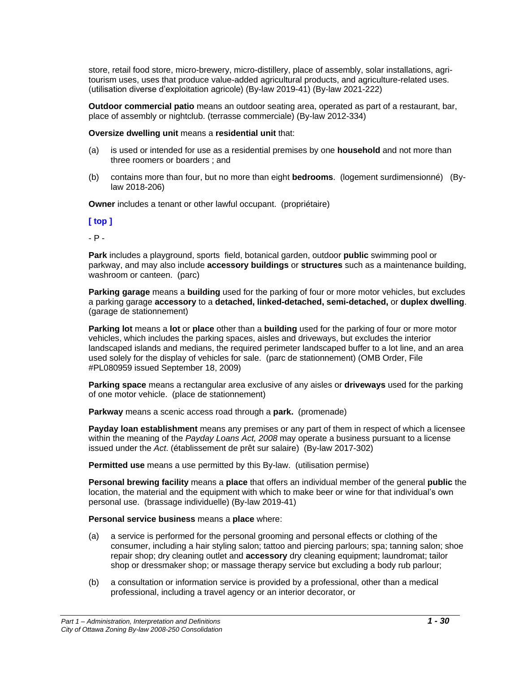store, retail food store, micro-brewery, micro-distillery, place of assembly, solar installations, agritourism uses, uses that produce value-added agricultural products, and agriculture-related uses. (utilisation diverse d'exploitation agricole) (By-law 2019-41) (By-law 2021-222)

**Outdoor commercial patio** means an outdoor seating area, operated as part of a restaurant, bar, place of assembly or nightclub. (terrasse commerciale) (By-law 2012-334)

**Oversize dwelling unit** means a **residential unit** that:

- (a) is used or intended for use as a residential premises by one **household** and not more than three roomers or boarders ; and
- (b) contains more than four, but no more than eight **bedrooms**. (logement surdimensionné) (Bylaw 2018-206)

**Owner** includes a tenant or other lawful occupant. (propriétaire)

#### **[ top ]**

<span id="page-29-0"></span>- P -

**Park** includes a playground, sports field, botanical garden, outdoor **public** swimming pool or parkway, and may also include **accessory buildings** or **structures** such as a maintenance building, washroom or canteen. (parc)

**Parking garage** means a **building** used for the parking of four or more motor vehicles, but excludes a parking garage **accessory** to a **detached, linked-detached, semi-detached,** or **duplex dwelling**. (garage de stationnement)

**Parking lot** means a **lot** or **place** other than a **building** used for the parking of four or more motor vehicles, which includes the parking spaces, aisles and driveways, but excludes the interior landscaped islands and medians, the required perimeter landscaped buffer to a lot line, and an area used solely for the display of vehicles for sale. (parc de stationnement) (OMB Order, File #PL080959 issued September 18, 2009)

**Parking space** means a rectangular area exclusive of any aisles or **driveways** used for the parking of one motor vehicle. (place de stationnement)

**Parkway** means a scenic access road through a **park.** (promenade)

**Payday loan establishment** means any premises or any part of them in respect of which a licensee within the meaning of the *Payday Loans Act, 2008* may operate a business pursuant to a license issued under the *Act*. (établissement de prêt sur salaire) (By-law 2017-302)

**Permitted use** means a use permitted by this By-law. (utilisation permise)

**Personal brewing facility** means a **place** that offers an individual member of the general **public** the location, the material and the equipment with which to make beer or wine for that individual's own personal use. (brassage individuelle) (By-law 2019-41)

**Personal service business** means a **place** where:

- (a) a service is performed for the personal grooming and personal effects or clothing of the consumer, including a hair styling salon; tattoo and piercing parlours; spa; tanning salon; shoe repair shop; dry cleaning outlet and **accessory** dry cleaning equipment; laundromat; tailor shop or dressmaker shop; or massage therapy service but excluding a body rub parlour;
- (b) a consultation or information service is provided by a professional, other than a medical professional, including a travel agency or an interior decorator, or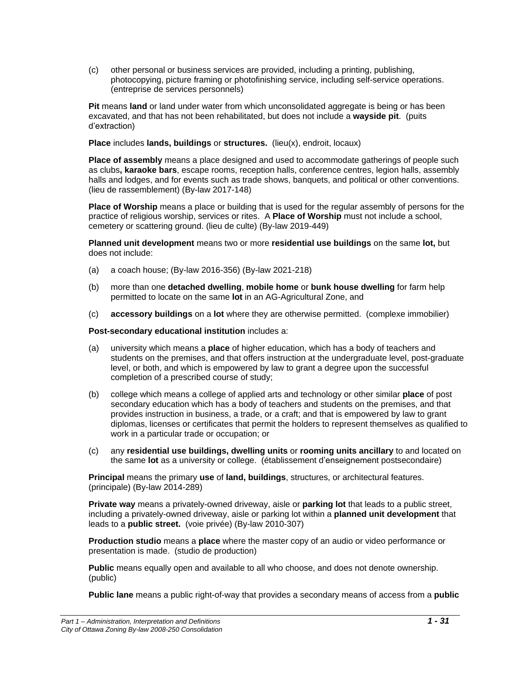(c) other personal or business services are provided, including a printing, publishing, photocopying, picture framing or photofinishing service, including self-service operations. (entreprise de services personnels)

**Pit** means **land** or land under water from which unconsolidated aggregate is being or has been excavated, and that has not been rehabilitated, but does not include a **wayside pit**. (puits d'extraction)

**Place** includes **lands, buildings** or **structures.** (lieu(x), endroit, locaux)

**Place of assembly** means a place designed and used to accommodate gatherings of people such as clubs**, karaoke bars**, escape rooms, reception halls, conference centres, legion halls, assembly halls and lodges, and for events such as trade shows, banquets, and political or other conventions. (lieu de rassemblement) (By-law 2017-148)

**Place of Worship** means a place or building that is used for the regular assembly of persons for the practice of religious worship, services or rites. A **Place of Worship** must not include a school, cemetery or scattering ground. (lieu de culte) (By-law 2019-449)

**Planned unit development** means two or more **residential use buildings** on the same **lot,** but does not include:

- (a) a coach house; (By-law 2016-356) (By-law 2021-218)
- (b) more than one **detached dwelling**, **mobile home** or **bunk house dwelling** for farm help permitted to locate on the same **lot** in an AG-Agricultural Zone, and
- (c) **accessory buildings** on a **lot** where they are otherwise permitted. (complexe immobilier)

**Post-secondary educational institution** includes a:

- (a) university which means a **place** of higher education, which has a body of teachers and students on the premises, and that offers instruction at the undergraduate level, post-graduate level, or both, and which is empowered by law to grant a degree upon the successful completion of a prescribed course of study;
- (b) college which means a college of applied arts and technology or other similar **place** of post secondary education which has a body of teachers and students on the premises, and that provides instruction in business, a trade, or a craft; and that is empowered by law to grant diplomas, licenses or certificates that permit the holders to represent themselves as qualified to work in a particular trade or occupation; or
- (c) any **residential use buildings, dwelling units** or **rooming units ancillary** to and located on the same **lot** as a university or college. (établissement d'enseignement postsecondaire)

**Principal** means the primary **use** of **land, buildings**, structures, or architectural features. (principale) (By-law 2014-289)

**Private way** means a privately-owned driveway, aisle or **parking lot** that leads to a public street, including a privately-owned driveway, aisle or parking lot within a **planned unit development** that leads to a **public street.** (voie privée) (By-law 2010-307)

**Production studio** means a **place** where the master copy of an audio or video performance or presentation is made. (studio de production)

**Public** means equally open and available to all who choose, and does not denote ownership. (public)

**Public lane** means a public right-of-way that provides a secondary means of access from a **public**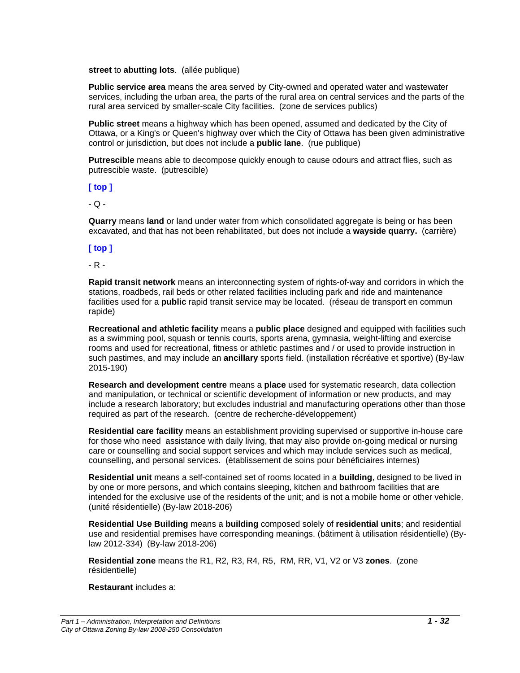#### **street** to **abutting lots**. (allée publique)

**Public service area** means the area served by City-owned and operated water and wastewater services, including the urban area, the parts of the rural area on central services and the parts of the rural area serviced by smaller-scale City facilities. (zone de services publics)

**Public street** means a highway which has been opened, assumed and dedicated by the City of Ottawa, or a King's or Queen's highway over which the City of Ottawa has been given administrative control or jurisdiction, but does not include a **public lane**. (rue publique)

**Putrescible** means able to decompose quickly enough to cause odours and attract flies, such as putrescible waste. (putrescible)

**[ top ]**

<span id="page-31-0"></span> $-$  Q  $-$ 

**Quarry** means **land** or land under water from which consolidated aggregate is being or has been excavated, and that has not been rehabilitated, but does not include a **wayside quarry.** (carrière)

## **[ top ]**

<span id="page-31-1"></span>- R -

**Rapid transit network** means an interconnecting system of rights-of-way and corridors in which the stations, roadbeds, rail beds or other related facilities including park and ride and maintenance facilities used for a **public** rapid transit service may be located. (réseau de transport en commun rapide)

**Recreational and athletic facility** means a **public place** designed and equipped with facilities such as a swimming pool, squash or tennis courts, sports arena, gymnasia, weight-lifting and exercise rooms and used for recreational, fitness or athletic pastimes and / or used to provide instruction in such pastimes, and may include an **ancillary** sports field. (installation récréative et sportive) (By-law 2015-190)

**Research and development centre** means a **place** used for systematic research, data collection and manipulation, or technical or scientific development of information or new products, and may include a research laboratory; but excludes industrial and manufacturing operations other than those required as part of the research. (centre de recherche-développement)

**Residential care facility** means an establishment providing supervised or supportive in-house care for those who need assistance with daily living, that may also provide on-going medical or nursing care or counselling and social support services and which may include services such as medical, counselling, and personal services. (établissement de soins pour bénéficiaires internes)

**Residential unit** means a self-contained set of rooms located in a **building**, designed to be lived in by one or more persons, and which contains sleeping, kitchen and bathroom facilities that are intended for the exclusive use of the residents of the unit; and is not a mobile home or other vehicle. (unité résidentielle) (By-law 2018-206)

**Residential Use Building** means a **building** composed solely of **residential units**; and residential use and residential premises have corresponding meanings. (bâtiment à utilisation résidentielle) (Bylaw 2012-334) (By-law 2018-206)

**Residential zone** means the R1, R2, R3, R4, R5, RM, RR, V1, V2 or V3 **zones**. (zone résidentielle)

**Restaurant** includes a: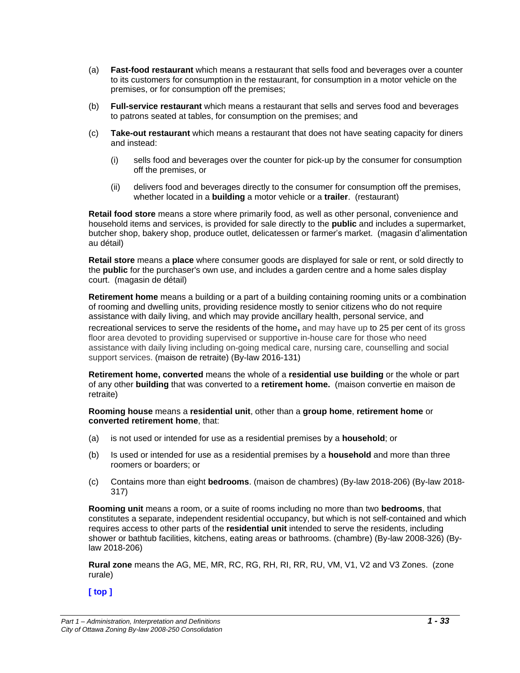- (a) **Fast-food restaurant** which means a restaurant that sells food and beverages over a counter to its customers for consumption in the restaurant, for consumption in a motor vehicle on the premises, or for consumption off the premises;
- (b) **Full-service restaurant** which means a restaurant that sells and serves food and beverages to patrons seated at tables, for consumption on the premises; and
- (c) **Take-out restaurant** which means a restaurant that does not have seating capacity for diners and instead:
	- (i) sells food and beverages over the counter for pick-up by the consumer for consumption off the premises, or
	- (ii) delivers food and beverages directly to the consumer for consumption off the premises, whether located in a **building** a motor vehicle or a **trailer**. (restaurant)

**Retail food store** means a store where primarily food, as well as other personal, convenience and household items and services, is provided for sale directly to the **public** and includes a supermarket, butcher shop, bakery shop, produce outlet, delicatessen or farmer's market. (magasin d'alimentation au détail)

**Retail store** means a **place** where consumer goods are displayed for sale or rent, or sold directly to the **public** for the purchaser's own use, and includes a garden centre and a home sales display court. (magasin de détail)

**Retirement home** means a building or a part of a building containing rooming units or a combination of rooming and dwelling units, providing residence mostly to senior citizens who do not require assistance with daily living, and which may provide ancillary health, personal service, and recreational services to serve the residents of the home**,** and may have up to 25 per cent of its gross floor area devoted to providing supervised or supportive in-house care for those who need assistance with daily living including on-going medical care, nursing care, counselling and social support services. (maison de retraite) (By-law 2016-131)

**Retirement home, converted** means the whole of a **residential use building** or the whole or part of any other **building** that was converted to a **retirement home.** (maison convertie en maison de retraite)

**Rooming house** means a **residential unit**, other than a **group home**, **retirement home** or **converted retirement home**, that:

- (a) is not used or intended for use as a residential premises by a **household**; or
- (b) Is used or intended for use as a residential premises by a **household** and more than three roomers or boarders; or
- (c) Contains more than eight **bedrooms**. (maison de chambres) (By-law 2018-206) (By-law 2018- 317)

**Rooming unit** means a room, or a suite of rooms including no more than two **bedrooms**, that constitutes a separate, independent residential occupancy, but which is not self-contained and which requires access to other parts of the **residential unit** intended to serve the residents, including shower or bathtub facilities, kitchens, eating areas or bathrooms. (chambre) (By-law 2008-326) (Bylaw 2018-206)

**Rural zone** means the AG, ME, MR, RC, RG, RH, RI, RR, RU, VM, V1, V2 and V3 Zones. (zone rurale)

**[ top ]**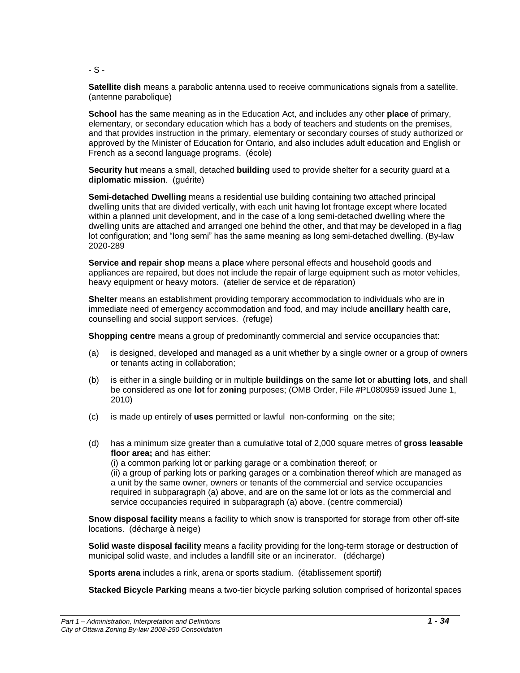<span id="page-33-0"></span>- S -

**Satellite dish** means a parabolic antenna used to receive communications signals from a satellite. (antenne parabolique)

**School** has the same meaning as in the Education Act, and includes any other **place** of primary, elementary, or secondary education which has a body of teachers and students on the premises, and that provides instruction in the primary, elementary or secondary courses of study authorized or approved by the Minister of Education for Ontario, and also includes adult education and English or French as a second language programs. (école)

**Security hut** means a small, detached **building** used to provide shelter for a security guard at a **diplomatic mission**. (guérite)

**Semi-detached Dwelling** means a residential use building containing two attached principal dwelling units that are divided vertically, with each unit having lot frontage except where located within a planned unit development, and in the case of a long semi-detached dwelling where the dwelling units are attached and arranged one behind the other, and that may be developed in a flag lot configuration; and "long semi" has the same meaning as long semi-detached dwelling. (By-law 2020-289

**Service and repair shop** means a **place** where personal effects and household goods and appliances are repaired, but does not include the repair of large equipment such as motor vehicles, heavy equipment or heavy motors. (atelier de service et de réparation)

**Shelter** means an establishment providing temporary accommodation to individuals who are in immediate need of emergency accommodation and food, and may include **ancillary** health care, counselling and social support services. (refuge)

**Shopping centre** means a group of predominantly commercial and service occupancies that:

- (a) is designed, developed and managed as a unit whether by a single owner or a group of owners or tenants acting in collaboration;
- (b) is either in a single building or in multiple **buildings** on the same **lot** or **abutting lots**, and shall be considered as one **lot** for **zoning** purposes; (OMB Order, File #PL080959 issued June 1, 2010)
- (c) is made up entirely of **uses** permitted or lawful non-conforming on the site;
- (d) has a minimum size greater than a cumulative total of 2,000 square metres of **gross leasable floor area;** and has either:

(i) a common parking lot or parking garage or a combination thereof; or (ii) a group of parking lots or parking garages or a combination thereof which are managed as a unit by the same owner, owners or tenants of the commercial and service occupancies required in subparagraph (a) above, and are on the same lot or lots as the commercial and service occupancies required in subparagraph (a) above. (centre commercial)

**Snow disposal facility** means a facility to which snow is transported for storage from other off-site locations. (décharge à neige)

**Solid waste disposal facility** means a facility providing for the long-term storage or destruction of municipal solid waste, and includes a landfill site or an incinerator. (décharge)

**Sports arena** includes a rink, arena or sports stadium. (établissement sportif)

**Stacked Bicycle Parking** means a two-tier bicycle parking solution comprised of horizontal spaces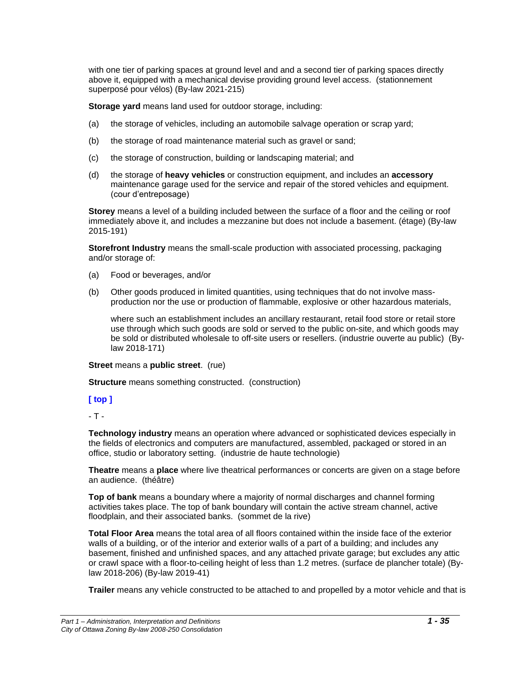with one tier of parking spaces at ground level and and a second tier of parking spaces directly above it, equipped with a mechanical devise providing ground level access. (stationnement superposé pour vélos) (By-law 2021-215)

**Storage yard** means land used for outdoor storage, including:

- (a) the storage of vehicles, including an automobile salvage operation or scrap yard;
- (b) the storage of road maintenance material such as gravel or sand;
- (c) the storage of construction, building or landscaping material; and
- (d) the storage of **heavy vehicles** or construction equipment, and includes an **accessory**  maintenance garage used for the service and repair of the stored vehicles and equipment. (cour d'entreposage)

**Storey** means a level of a building included between the surface of a floor and the ceiling or roof immediately above it, and includes a mezzanine but does not include a basement. (étage) (By-law 2015-191)

**Storefront Industry** means the small-scale production with associated processing, packaging and/or storage of:

- (a) Food or beverages, and/or
- (b) Other goods produced in limited quantities, using techniques that do not involve massproduction nor the use or production of flammable, explosive or other hazardous materials,

where such an establishment includes an ancillary restaurant, retail food store or retail store use through which such goods are sold or served to the public on-site, and which goods may be sold or distributed wholesale to off-site users or resellers. (industrie ouverte au public) (Bylaw 2018-171)

**Street** means a **public street**. (rue)

**Structure** means something constructed. (construction)

#### **[ top ]**

<span id="page-34-0"></span>- T -

**Technology industry** means an operation where advanced or sophisticated devices especially in the fields of electronics and computers are manufactured, assembled, packaged or stored in an office, studio or laboratory setting. (industrie de haute technologie)

**Theatre** means a **place** where live theatrical performances or concerts are given on a stage before an audience. (théâtre)

**Top of bank** means a boundary where a majority of normal discharges and channel forming activities takes place. The top of bank boundary will contain the active stream channel, active floodplain, and their associated banks. (sommet de la rive)

**Total Floor Area** means the total area of all floors contained within the inside face of the exterior walls of a building, or of the interior and exterior walls of a part of a building; and includes any basement, finished and unfinished spaces, and any attached private garage; but excludes any attic or crawl space with a floor-to-ceiling height of less than 1.2 metres. (surface de plancher totale) (Bylaw 2018-206) (By-law 2019-41)

**Trailer** means any vehicle constructed to be attached to and propelled by a motor vehicle and that is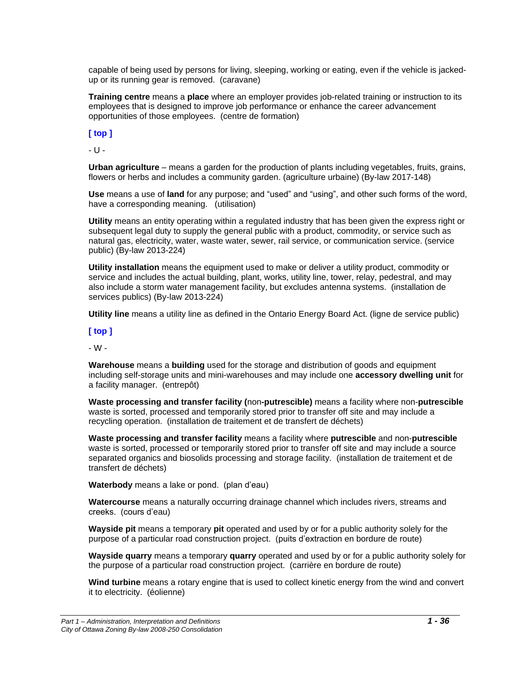capable of being used by persons for living, sleeping, working or eating, even if the vehicle is jackedup or its running gear is removed. (caravane)

**Training centre** means a **place** where an employer provides job-related training or instruction to its employees that is designed to improve job performance or enhance the career advancement opportunities of those employees. (centre de formation)

## **[ top ]**

<span id="page-35-0"></span>- U -

**Urban agriculture** – means a garden for the production of plants including vegetables, fruits, grains, flowers or herbs and includes a community garden. (agriculture urbaine) (By-law 2017-148)

**Use** means a use of **land** for any purpose; and "used" and "using", and other such forms of the word, have a corresponding meaning. (utilisation)

**Utility** means an entity operating within a regulated industry that has been given the express right or subsequent legal duty to supply the general public with a product, commodity, or service such as natural gas, electricity, water, waste water, sewer, rail service, or communication service. (service public) (By-law 2013-224)

**Utility installation** means the equipment used to make or deliver a utility product, commodity or service and includes the actual building, plant, works, utility line, tower, relay, pedestral, and may also include a storm water management facility, but excludes antenna systems. (installation de services publics) (By-law 2013-224)

**Utility line** means a utility line as defined in the Ontario Energy Board Act. (ligne de service public)

#### **[ top ]**

<span id="page-35-1"></span>- W -

**Warehouse** means a **building** used for the storage and distribution of goods and equipment including self-storage units and mini-warehouses and may include one **accessory dwelling unit** for a facility manager. (entrepôt)

**Waste processing and transfer facility (**non**-putrescible)** means a facility where non-**putrescible** waste is sorted, processed and temporarily stored prior to transfer off site and may include a recycling operation. (installation de traitement et de transfert de déchets)

**Waste processing and transfer facility** means a facility where **putrescible** and non-**putrescible** waste is sorted, processed or temporarily stored prior to transfer off site and may include a source separated organics and biosolids processing and storage facility. (installation de traitement et de transfert de déchets)

**Waterbody** means a lake or pond. (plan d'eau)

**Watercourse** means a naturally occurring drainage channel which includes rivers, streams and creeks. (cours d'eau)

**Wayside pit** means a temporary **pit** operated and used by or for a public authority solely for the purpose of a particular road construction project. (puits d'extraction en bordure de route)

**Wayside quarry** means a temporary **quarry** operated and used by or for a public authority solely for the purpose of a particular road construction project. (carrière en bordure de route)

**Wind turbine** means a rotary engine that is used to collect kinetic energy from the wind and convert it to electricity. (éolienne)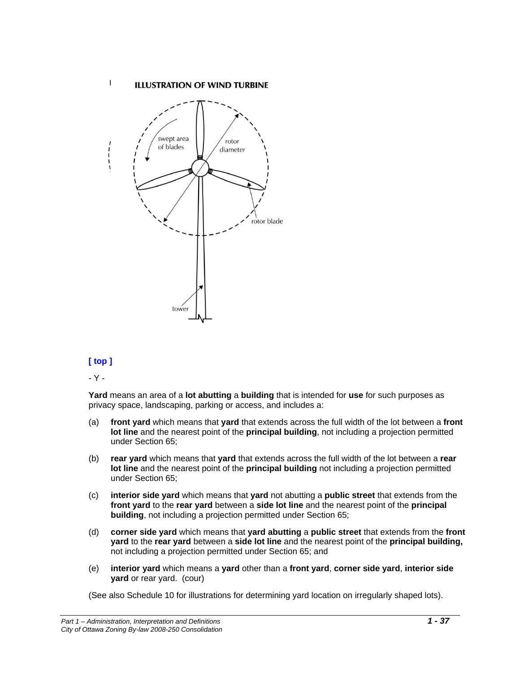#### **ILLUSTRATION OF WIND TURBINE**

![](_page_36_Figure_1.jpeg)

## **[ top ]**

 $\mathbf{I}$ 

<span id="page-36-0"></span>- Y -

**Yard** means an area of a **lot abutting** a **building** that is intended for **use** for such purposes as privacy space, landscaping, parking or access, and includes a:

- (a) **front yard** which means that **yard** that extends across the full width of the lot between a **front lot line** and the nearest point of the **principal building**, not including a projection permitted under Section 65;
- (b) **rear yard** which means that **yard** that extends across the full width of the lot between a **rear lot line** and the nearest point of the **principal building** not including a projection permitted under Section 65;
- (c) **interior side yard** which means that **yard** not abutting a **public street** that extends from the **front yard** to the **rear yard** between a **side lot line** and the nearest point of the **principal building**, not including a projection permitted under Section 65;
- (d) **corner side yard** which means that **yard abutting** a **public street** that extends from the **front yard** to the **rear yard** between a **side lot line** and the nearest point of the **principal building,**  not including a projection permitted under Section 65; and
- (e) **interior yard** which means a **yard** other than a **front yard**, **corner side yard**, **interior side yard** or rear yard. (cour)

(See also Schedule 10 for illustrations for determining yard location on irregularly shaped lots).